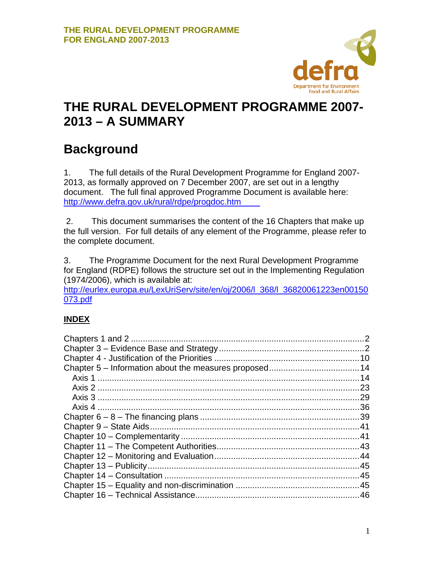

# **THE RURAL DEVELOPMENT PROGRAMME 2007- 2013 – A SUMMARY**

# **Background**

1. The full details of the Rural Development Programme for England 2007- 2013, as formally approved on 7 December 2007, are set out in a lengthy document. The full final approved Programme Document is available here: [http://www.defra.gov.uk/](http://www.defra.gov.uk/rural/rdpe/progdoc.htm)rural/rdpe/progdoc.htm

2. This document summarises the content of the 16 Chapters that make up the full version. For full details of any element of the Programme, please refer to the complete document.

3. The Programme Document for the next Rural Development Programme for England (RDPE) follows the structure set out in the Implementing Regulation (1974/2006), which is available at:

[http://eurlex.europa.eu/LexUriServ/site/en/oj/2006/l\\_368/l\\_36820061223en00150](http://eurlex.europa.eu/LexUriServ/site/en/oj/2006/l_368/l_36820061223en00150073.pdf) [073.pdf](http://eurlex.europa.eu/LexUriServ/site/en/oj/2006/l_368/l_36820061223en00150073.pdf)

### **INDEX**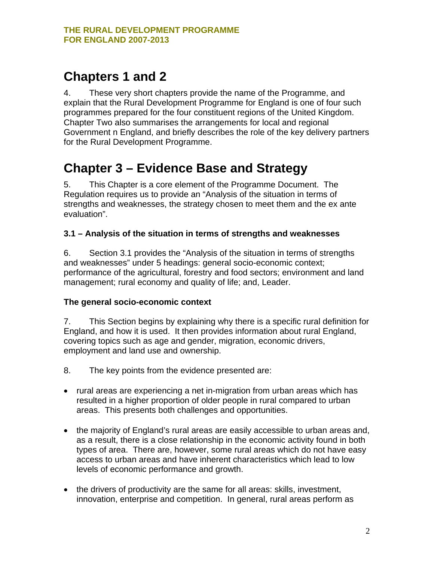### <span id="page-1-0"></span>**Chapters 1 and 2**

4. These very short chapters provide the name of the Programme, and explain that the Rural Development Programme for England is one of four such programmes prepared for the four constituent regions of the United Kingdom. Chapter Two also summarises the arrangements for local and regional Government n England, and briefly describes the role of the key delivery partners for the Rural Development Programme.

# **Chapter 3 – Evidence Base and Strategy**

5. This Chapter is a core element of the Programme Document. The Regulation requires us to provide an "Analysis of the situation in terms of strengths and weaknesses, the strategy chosen to meet them and the ex ante evaluation".

#### **3.1 – Analysis of the situation in terms of strengths and weaknesses**

6. Section 3.1 provides the "Analysis of the situation in terms of strengths and weaknesses" under 5 headings: general socio-economic context; performance of the agricultural, forestry and food sectors; environment and land management; rural economy and quality of life; and, Leader.

### **The general socio-economic context**

7. This Section begins by explaining why there is a specific rural definition for England, and how it is used. It then provides information about rural England, covering topics such as age and gender, migration, economic drivers, employment and land use and ownership.

- 8. The key points from the evidence presented are:
- rural areas are experiencing a net in-migration from urban areas which has resulted in a higher proportion of older people in rural compared to urban areas. This presents both challenges and opportunities.
- the majority of England's rural areas are easily accessible to urban areas and, as a result, there is a close relationship in the economic activity found in both types of area. There are, however, some rural areas which do not have easy access to urban areas and have inherent characteristics which lead to low levels of economic performance and growth.
- the drivers of productivity are the same for all areas: skills, investment, innovation, enterprise and competition. In general, rural areas perform as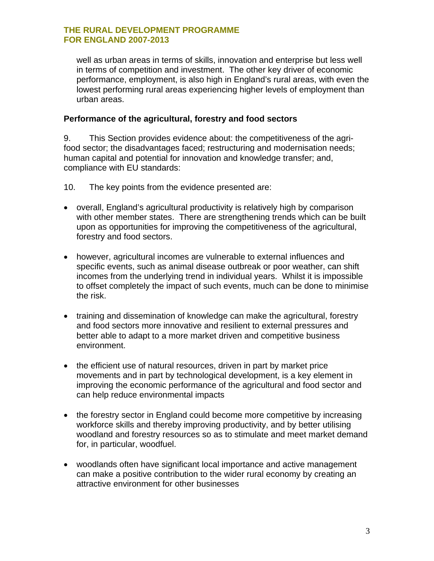well as urban areas in terms of skills, innovation and enterprise but less well in terms of competition and investment. The other key driver of economic performance, employment, is also high in England's rural areas, with even the lowest performing rural areas experiencing higher levels of employment than urban areas.

#### **Performance of the agricultural, forestry and food sectors**

9. This Section provides evidence about: the competitiveness of the agrifood sector; the disadvantages faced; restructuring and modernisation needs; human capital and potential for innovation and knowledge transfer; and, compliance with EU standards:

10. The key points from the evidence presented are:

- overall, England's agricultural productivity is relatively high by comparison with other member states. There are strengthening trends which can be built upon as opportunities for improving the competitiveness of the agricultural, forestry and food sectors.
- however, agricultural incomes are vulnerable to external influences and specific events, such as animal disease outbreak or poor weather, can shift incomes from the underlying trend in individual years. Whilst it is impossible to offset completely the impact of such events, much can be done to minimise the risk.
- training and dissemination of knowledge can make the agricultural, forestry and food sectors more innovative and resilient to external pressures and better able to adapt to a more market driven and competitive business environment.
- the efficient use of natural resources, driven in part by market price movements and in part by technological development, is a key element in improving the economic performance of the agricultural and food sector and can help reduce environmental impacts
- the forestry sector in England could become more competitive by increasing workforce skills and thereby improving productivity, and by better utilising woodland and forestry resources so as to stimulate and meet market demand for, in particular, woodfuel.
- woodlands often have significant local importance and active management can make a positive contribution to the wider rural economy by creating an attractive environment for other businesses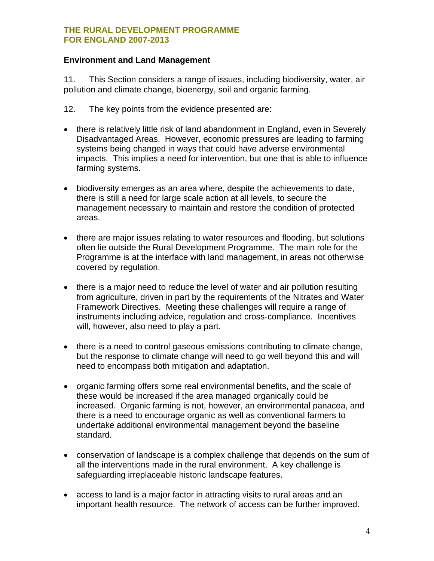#### **Environment and Land Management**

11. This Section considers a range of issues, including biodiversity, water, air pollution and climate change, bioenergy, soil and organic farming.

- 12. The key points from the evidence presented are:
- there is relatively little risk of land abandonment in England, even in Severely Disadvantaged Areas. However, economic pressures are leading to farming systems being changed in ways that could have adverse environmental impacts. This implies a need for intervention, but one that is able to influence farming systems.
- biodiversity emerges as an area where, despite the achievements to date, there is still a need for large scale action at all levels, to secure the management necessary to maintain and restore the condition of protected areas.
- there are major issues relating to water resources and flooding, but solutions often lie outside the Rural Development Programme. The main role for the Programme is at the interface with land management, in areas not otherwise covered by regulation.
- there is a major need to reduce the level of water and air pollution resulting from agriculture, driven in part by the requirements of the Nitrates and Water Framework Directives. Meeting these challenges will require a range of instruments including advice, regulation and cross-compliance. Incentives will, however, also need to play a part.
- there is a need to control gaseous emissions contributing to climate change, but the response to climate change will need to go well beyond this and will need to encompass both mitigation and adaptation.
- organic farming offers some real environmental benefits, and the scale of these would be increased if the area managed organically could be increased. Organic farming is not, however, an environmental panacea, and there is a need to encourage organic as well as conventional farmers to undertake additional environmental management beyond the baseline standard.
- conservation of landscape is a complex challenge that depends on the sum of all the interventions made in the rural environment. A key challenge is safeguarding irreplaceable historic landscape features.
- access to land is a major factor in attracting visits to rural areas and an important health resource. The network of access can be further improved.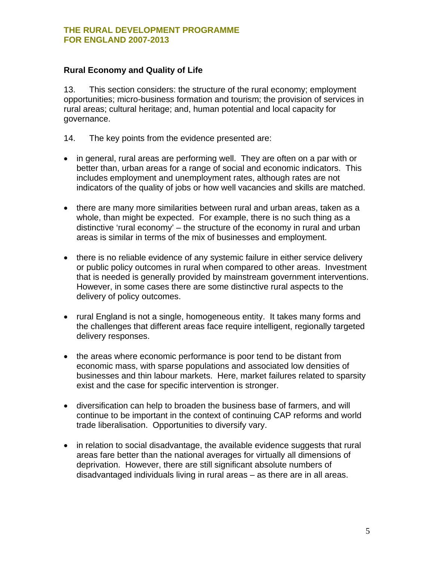#### **Rural Economy and Quality of Life**

13. This section considers: the structure of the rural economy; employment opportunities; micro-business formation and tourism; the provision of services in rural areas; cultural heritage; and, human potential and local capacity for governance.

- 14. The key points from the evidence presented are:
- in general, rural areas are performing well. They are often on a par with or better than, urban areas for a range of social and economic indicators. This includes employment and unemployment rates, although rates are not indicators of the quality of jobs or how well vacancies and skills are matched.
- there are many more similarities between rural and urban areas, taken as a whole, than might be expected. For example, there is no such thing as a distinctive 'rural economy' – the structure of the economy in rural and urban areas is similar in terms of the mix of businesses and employment.
- there is no reliable evidence of any systemic failure in either service delivery or public policy outcomes in rural when compared to other areas. Investment that is needed is generally provided by mainstream government interventions. However, in some cases there are some distinctive rural aspects to the delivery of policy outcomes.
- rural England is not a single, homogeneous entity. It takes many forms and the challenges that different areas face require intelligent, regionally targeted delivery responses.
- the areas where economic performance is poor tend to be distant from economic mass, with sparse populations and associated low densities of businesses and thin labour markets. Here, market failures related to sparsity exist and the case for specific intervention is stronger.
- diversification can help to broaden the business base of farmers, and will continue to be important in the context of continuing CAP reforms and world trade liberalisation. Opportunities to diversify vary.
- in relation to social disadvantage, the available evidence suggests that rural areas fare better than the national averages for virtually all dimensions of deprivation. However, there are still significant absolute numbers of disadvantaged individuals living in rural areas – as there are in all areas.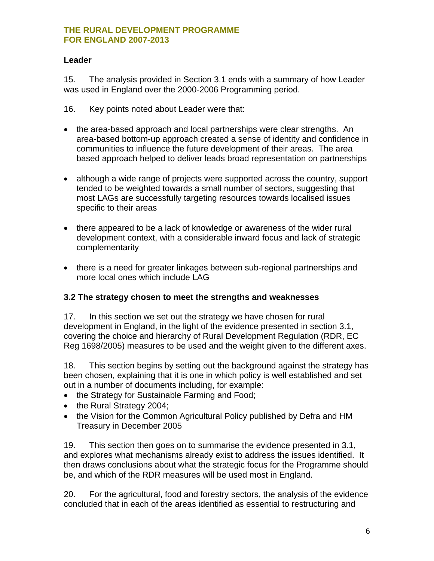#### **Leader**

15. The analysis provided in Section 3.1 ends with a summary of how Leader was used in England over the 2000-2006 Programming period.

- 16. Key points noted about Leader were that:
- the area-based approach and local partnerships were clear strengths. An area-based bottom-up approach created a sense of identity and confidence in communities to influence the future development of their areas. The area based approach helped to deliver leads broad representation on partnerships
- although a wide range of projects were supported across the country, support tended to be weighted towards a small number of sectors, suggesting that most LAGs are successfully targeting resources towards localised issues specific to their areas
- there appeared to be a lack of knowledge or awareness of the wider rural development context, with a considerable inward focus and lack of strategic complementarity
- there is a need for greater linkages between sub-regional partnerships and more local ones which include LAG

#### **3.2 The strategy chosen to meet the strengths and weaknesses**

17. In this section we set out the strategy we have chosen for rural development in England, in the light of the evidence presented in section 3.1, covering the choice and hierarchy of Rural Development Regulation (RDR, EC Reg 1698/2005) measures to be used and the weight given to the different axes.

18. This section begins by setting out the background against the strategy has been chosen, explaining that it is one in which policy is well established and set out in a number of documents including, for example:

- the Strategy for Sustainable Farming and Food;
- the Rural Strategy 2004;
- the Vision for the Common Agricultural Policy published by Defra and HM Treasury in December 2005

19. This section then goes on to summarise the evidence presented in 3.1, and explores what mechanisms already exist to address the issues identified. It then draws conclusions about what the strategic focus for the Programme should be, and which of the RDR measures will be used most in England.

20. For the agricultural, food and forestry sectors, the analysis of the evidence concluded that in each of the areas identified as essential to restructuring and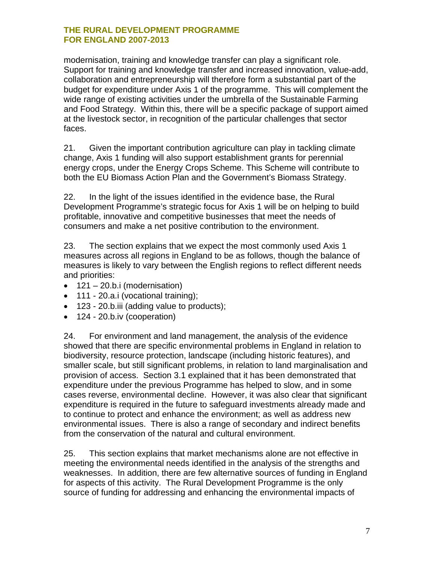modernisation, training and knowledge transfer can play a significant role. Support for training and knowledge transfer and increased innovation, value-add, collaboration and entrepreneurship will therefore form a substantial part of the budget for expenditure under Axis 1 of the programme. This will complement the wide range of existing activities under the umbrella of the Sustainable Farming and Food Strategy. Within this, there will be a specific package of support aimed at the livestock sector, in recognition of the particular challenges that sector faces.

21. Given the important contribution agriculture can play in tackling climate change, Axis 1 funding will also support establishment grants for perennial energy crops, under the Energy Crops Scheme. This Scheme will contribute to both the EU Biomass Action Plan and the Government's Biomass Strategy.

22. In the light of the issues identified in the evidence base, the Rural Development Programme's strategic focus for Axis 1 will be on helping to build profitable, innovative and competitive businesses that meet the needs of consumers and make a net positive contribution to the environment.

23. The section explains that we expect the most commonly used Axis 1 measures across all regions in England to be as follows, though the balance of measures is likely to vary between the English regions to reflect different needs and priorities:

- $\bullet$  121 20.b.i (modernisation)
- 111 20.a.i (vocational training);
- 123 20.b.iii (adding value to products);
- 124 20.b.iv (cooperation)

24. For environment and land management, the analysis of the evidence showed that there are specific environmental problems in England in relation to biodiversity, resource protection, landscape (including historic features), and smaller scale, but still significant problems, in relation to land marginalisation and provision of access. Section 3.1 explained that it has been demonstrated that expenditure under the previous Programme has helped to slow, and in some cases reverse, environmental decline. However, it was also clear that significant expenditure is required in the future to safeguard investments already made and to continue to protect and enhance the environment; as well as address new environmental issues. There is also a range of secondary and indirect benefits from the conservation of the natural and cultural environment.

25. This section explains that market mechanisms alone are not effective in meeting the environmental needs identified in the analysis of the strengths and weaknesses. In addition, there are few alternative sources of funding in England for aspects of this activity. The Rural Development Programme is the only source of funding for addressing and enhancing the environmental impacts of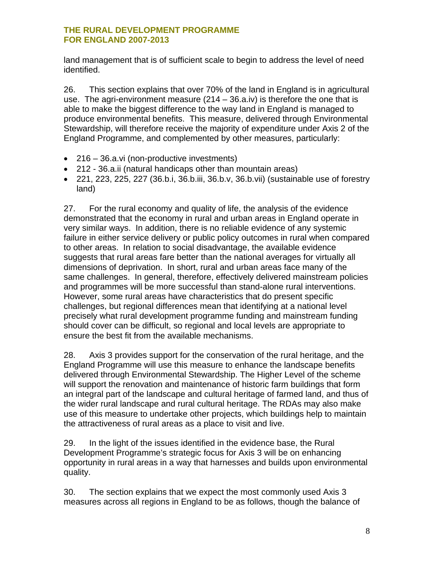land management that is of sufficient scale to begin to address the level of need identified.

26. This section explains that over 70% of the land in England is in agricultural use. The agri-environment measure (214 – 36.a.iv) is therefore the one that is able to make the biggest difference to the way land in England is managed to produce environmental benefits. This measure, delivered through Environmental Stewardship, will therefore receive the majority of expenditure under Axis 2 of the England Programme, and complemented by other measures, particularly:

- 216 36.a.vi (non-productive investments)
- 212 36.a.ii (natural handicaps other than mountain areas)
- 221, 223, 225, 227 (36.b.i, 36.b.iii, 36.b.v, 36.b.vii) (sustainable use of forestry land)

27. For the rural economy and quality of life, the analysis of the evidence demonstrated that the economy in rural and urban areas in England operate in very similar ways. In addition, there is no reliable evidence of any systemic failure in either service delivery or public policy outcomes in rural when compared to other areas. In relation to social disadvantage, the available evidence suggests that rural areas fare better than the national averages for virtually all dimensions of deprivation. In short, rural and urban areas face many of the same challenges. In general, therefore, effectively delivered mainstream policies and programmes will be more successful than stand-alone rural interventions. However, some rural areas have characteristics that do present specific challenges, but regional differences mean that identifying at a national level precisely what rural development programme funding and mainstream funding should cover can be difficult, so regional and local levels are appropriate to ensure the best fit from the available mechanisms.

28. Axis 3 provides support for the conservation of the rural heritage, and the England Programme will use this measure to enhance the landscape benefits delivered through Environmental Stewardship. The Higher Level of the scheme will support the renovation and maintenance of historic farm buildings that form an integral part of the landscape and cultural heritage of farmed land, and thus of the wider rural landscape and rural cultural heritage. The RDAs may also make use of this measure to undertake other projects, which buildings help to maintain the attractiveness of rural areas as a place to visit and live.

29. In the light of the issues identified in the evidence base, the Rural Development Programme's strategic focus for Axis 3 will be on enhancing opportunity in rural areas in a way that harnesses and builds upon environmental quality.

30. The section explains that we expect the most commonly used Axis 3 measures across all regions in England to be as follows, though the balance of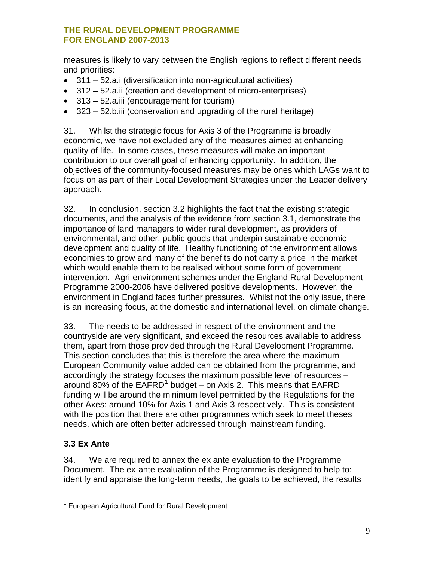<span id="page-8-0"></span>measures is likely to vary between the English regions to reflect different needs and priorities:

- 311 52.a.i (diversification into non-agricultural activities)
- 312 52.a.ii (creation and development of micro-enterprises)
- 313 52.a.iii (encouragement for tourism)
- $\bullet$  323 52.b.iii (conservation and upgrading of the rural heritage)

31. Whilst the strategic focus for Axis 3 of the Programme is broadly economic, we have not excluded any of the measures aimed at enhancing quality of life. In some cases, these measures will make an important contribution to our overall goal of enhancing opportunity. In addition, the objectives of the community-focused measures may be ones which LAGs want to focus on as part of their Local Development Strategies under the Leader delivery approach.

32. In conclusion, section 3.2 highlights the fact that the existing strategic documents, and the analysis of the evidence from section 3.1, demonstrate the importance of land managers to wider rural development, as providers of environmental, and other, public goods that underpin sustainable economic development and quality of life. Healthy functioning of the environment allows economies to grow and many of the benefits do not carry a price in the market which would enable them to be realised without some form of government intervention. Agri-environment schemes under the England Rural Development Programme 2000-2006 have delivered positive developments. However, the environment in England faces further pressures. Whilst not the only issue, there is an increasing focus, at the domestic and international level, on climate change.

33. The needs to be addressed in respect of the environment and the countryside are very significant, and exceed the resources available to address them, apart from those provided through the Rural Development Programme. This section concludes that this is therefore the area where the maximum European Community value added can be obtained from the programme, and accordingly the strategy focuses the maximum possible level of resources – around 80% of the  $E\widetilde{AFRD}^1$  $E\widetilde{AFRD}^1$  budget – on Axis 2. This means that  $E\widetilde{AFRD}$ funding will be around the minimum level permitted by the Regulations for the other Axes: around 10% for Axis 1 and Axis 3 respectively. This is consistent with the position that there are other programmes which seek to meet theses needs, which are often better addressed through mainstream funding.

### **3.3 Ex Ante**

34. We are required to annex the ex ante evaluation to the Programme Document. The ex-ante evaluation of the Programme is designed to help to: identify and appraise the long-term needs, the goals to be achieved, the results

 $\overline{a}$ <sup>1</sup> European Agricultural Fund for Rural Development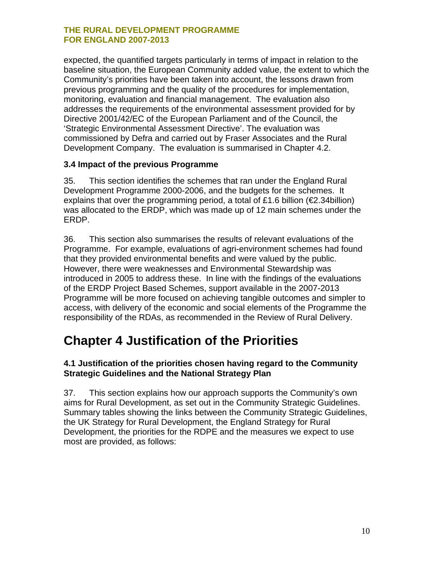<span id="page-9-0"></span>expected, the quantified targets particularly in terms of impact in relation to the baseline situation, the European Community added value, the extent to which the Community's priorities have been taken into account, the lessons drawn from previous programming and the quality of the procedures for implementation, monitoring, evaluation and financial management. The evaluation also addresses the requirements of the environmental assessment provided for by Directive 2001/42/EC of the European Parliament and of the Council, the 'Strategic Environmental Assessment Directive'. The evaluation was commissioned by Defra and carried out by Fraser Associates and the Rural Development Company. The evaluation is summarised in Chapter 4.2.

#### **3.4 Impact of the previous Programme**

35. This section identifies the schemes that ran under the England Rural Development Programme 2000-2006, and the budgets for the schemes. It explains that over the programming period, a total of £1.6 billion ( $\epsilon$ 2.34billion) was allocated to the ERDP, which was made up of 12 main schemes under the ERDP.

36. This section also summarises the results of relevant evaluations of the Programme. For example, evaluations of agri-environment schemes had found that they provided environmental benefits and were valued by the public. However, there were weaknesses and Environmental Stewardship was introduced in 2005 to address these. In line with the findings of the evaluations of the ERDP Project Based Schemes, support available in the 2007-2013 Programme will be more focused on achieving tangible outcomes and simpler to access, with delivery of the economic and social elements of the Programme the responsibility of the RDAs, as recommended in the Review of Rural Delivery.

### **Chapter 4 Justification of the Priorities**

#### **4.1 Justification of the priorities chosen having regard to the Community Strategic Guidelines and the National Strategy Plan**

37. This section explains how our approach supports the Community's own aims for Rural Development, as set out in the Community Strategic Guidelines. Summary tables showing the links between the Community Strategic Guidelines, the UK Strategy for Rural Development, the England Strategy for Rural Development, the priorities for the RDPE and the measures we expect to use most are provided, as follows: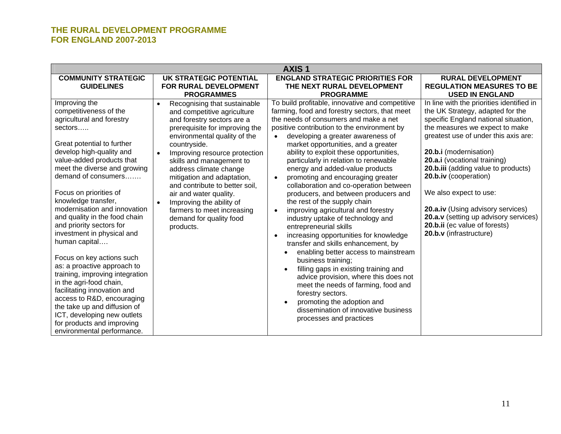| <b>AXIS1</b>                                                                                                                                                                                                                                                                                                                                                                                                                                                                                                                                                                                                                                                                                                                                 |                                                                                                                                                                                                                                                                                                                                                                                                                                                                                                       |                                                                                                                                                                                                                                                                                                                                                                                                                                                                                                                                                                                                                                                                                                                                                                                                                                                                                                                                                                                                                                                                                                                                      |                                                                                                                                                                                                                                                                                                                                                                                                                                                                                               |
|----------------------------------------------------------------------------------------------------------------------------------------------------------------------------------------------------------------------------------------------------------------------------------------------------------------------------------------------------------------------------------------------------------------------------------------------------------------------------------------------------------------------------------------------------------------------------------------------------------------------------------------------------------------------------------------------------------------------------------------------|-------------------------------------------------------------------------------------------------------------------------------------------------------------------------------------------------------------------------------------------------------------------------------------------------------------------------------------------------------------------------------------------------------------------------------------------------------------------------------------------------------|--------------------------------------------------------------------------------------------------------------------------------------------------------------------------------------------------------------------------------------------------------------------------------------------------------------------------------------------------------------------------------------------------------------------------------------------------------------------------------------------------------------------------------------------------------------------------------------------------------------------------------------------------------------------------------------------------------------------------------------------------------------------------------------------------------------------------------------------------------------------------------------------------------------------------------------------------------------------------------------------------------------------------------------------------------------------------------------------------------------------------------------|-----------------------------------------------------------------------------------------------------------------------------------------------------------------------------------------------------------------------------------------------------------------------------------------------------------------------------------------------------------------------------------------------------------------------------------------------------------------------------------------------|
| <b>COMMUNITY STRATEGIC</b><br><b>GUIDELINES</b>                                                                                                                                                                                                                                                                                                                                                                                                                                                                                                                                                                                                                                                                                              | <b>UK STRATEGIC POTENTIAL</b><br>FOR RURAL DEVELOPMENT<br><b>PROGRAMMES</b>                                                                                                                                                                                                                                                                                                                                                                                                                           | <b>ENGLAND STRATEGIC PRIORITIES FOR</b><br>THE NEXT RURAL DEVELOPMENT<br><b>PROGRAMME</b>                                                                                                                                                                                                                                                                                                                                                                                                                                                                                                                                                                                                                                                                                                                                                                                                                                                                                                                                                                                                                                            | <b>RURAL DEVELOPMENT</b><br><b>REGULATION MEASURES TO BE</b><br><b>USED IN ENGLAND</b>                                                                                                                                                                                                                                                                                                                                                                                                        |
| Improving the<br>competitiveness of the<br>agricultural and forestry<br>sectors<br>Great potential to further<br>develop high-quality and<br>value-added products that<br>meet the diverse and growing<br>demand of consumers<br>Focus on priorities of<br>knowledge transfer,<br>modernisation and innovation<br>and quality in the food chain<br>and priority sectors for<br>investment in physical and<br>human capital<br>Focus on key actions such<br>as: a proactive approach to<br>training, improving integration<br>in the agri-food chain,<br>facilitating innovation and<br>access to R&D, encouraging<br>the take up and diffusion of<br>ICT, developing new outlets<br>for products and improving<br>environmental performance. | Recognising that sustainable<br>$\bullet$<br>and competitive agriculture<br>and forestry sectors are a<br>prerequisite for improving the<br>environmental quality of the<br>countryside.<br>Improving resource protection<br>$\bullet$<br>skills and management to<br>address climate change<br>mitigation and adaptation,<br>and contribute to better soil,<br>air and water quality.<br>Improving the ability of<br>$\bullet$<br>farmers to meet increasing<br>demand for quality food<br>products. | To build profitable, innovative and competitive<br>farming, food and forestry sectors, that meet<br>the needs of consumers and make a net<br>positive contribution to the environment by<br>developing a greater awareness of<br>$\bullet$<br>market opportunities, and a greater<br>ability to exploit these opportunities,<br>particularly in relation to renewable<br>energy and added-value products<br>promoting and encouraging greater<br>$\bullet$<br>collaboration and co-operation between<br>producers, and between producers and<br>the rest of the supply chain<br>improving agricultural and forestry<br>$\bullet$<br>industry uptake of technology and<br>entrepreneurial skills<br>increasing opportunities for knowledge<br>$\bullet$<br>transfer and skills enhancement, by<br>enabling better access to mainstream<br>business training;<br>filling gaps in existing training and<br>$\bullet$<br>advice provision, where this does not<br>meet the needs of farming, food and<br>forestry sectors.<br>promoting the adoption and<br>$\bullet$<br>dissemination of innovative business<br>processes and practices | In line with the priorities identified in<br>the UK Strategy, adapted for the<br>specific England national situation,<br>the measures we expect to make<br>greatest use of under this axis are:<br>20.b.i (modernisation)<br>20.a.i (vocational training)<br>20.b.iii (adding value to products)<br>20.b.iv (cooperation)<br>We also expect to use:<br>20.a.iv (Using advisory services)<br>20.a.v (setting up advisory services)<br>20.b.ii (ec value of forests)<br>20.b.v (infrastructure) |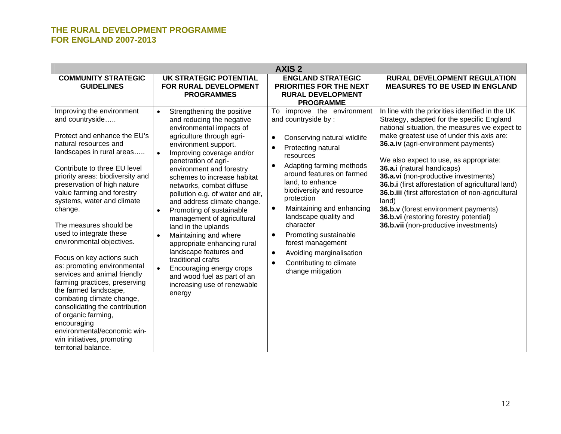| <b>AXIS 2</b>                                                                                                                                                                                                                                                                                                                                                                                                                                                                                                                                                                                                                                                                                                                                  |                                                                                                                                                                                                                                                                                                                                                                                                                                                                                                                                                                                                                                                                                                          |                                                                                                                                                                                                                                                                                                                                                                                                                                                                            |                                                                                                                                                                                                                                                                                                                                                                                                                                                                                                                                                                                                   |
|------------------------------------------------------------------------------------------------------------------------------------------------------------------------------------------------------------------------------------------------------------------------------------------------------------------------------------------------------------------------------------------------------------------------------------------------------------------------------------------------------------------------------------------------------------------------------------------------------------------------------------------------------------------------------------------------------------------------------------------------|----------------------------------------------------------------------------------------------------------------------------------------------------------------------------------------------------------------------------------------------------------------------------------------------------------------------------------------------------------------------------------------------------------------------------------------------------------------------------------------------------------------------------------------------------------------------------------------------------------------------------------------------------------------------------------------------------------|----------------------------------------------------------------------------------------------------------------------------------------------------------------------------------------------------------------------------------------------------------------------------------------------------------------------------------------------------------------------------------------------------------------------------------------------------------------------------|---------------------------------------------------------------------------------------------------------------------------------------------------------------------------------------------------------------------------------------------------------------------------------------------------------------------------------------------------------------------------------------------------------------------------------------------------------------------------------------------------------------------------------------------------------------------------------------------------|
| <b>COMMUNITY STRATEGIC</b><br><b>GUIDELINES</b>                                                                                                                                                                                                                                                                                                                                                                                                                                                                                                                                                                                                                                                                                                | <b>UK STRATEGIC POTENTIAL</b><br>FOR RURAL DEVELOPMENT<br><b>PROGRAMMES</b>                                                                                                                                                                                                                                                                                                                                                                                                                                                                                                                                                                                                                              | <b>ENGLAND STRATEGIC</b><br>PRIORITIES FOR THE NEXT<br><b>RURAL DEVELOPMENT</b><br><b>PROGRAMME</b>                                                                                                                                                                                                                                                                                                                                                                        | <b>RURAL DEVELOPMENT REGULATION</b><br><b>MEASURES TO BE USED IN ENGLAND</b>                                                                                                                                                                                                                                                                                                                                                                                                                                                                                                                      |
| Improving the environment<br>and countryside<br>Protect and enhance the EU's<br>natural resources and<br>landscapes in rural areas<br>Contribute to three EU level<br>priority areas: biodiversity and<br>preservation of high nature<br>value farming and forestry<br>systems, water and climate<br>change.<br>The measures should be<br>used to integrate these<br>environmental objectives.<br>Focus on key actions such<br>as: promoting environmental<br>services and animal friendly<br>farming practices, preserving<br>the farmed landscape,<br>combating climate change,<br>consolidating the contribution<br>of organic farming,<br>encouraging<br>environmental/economic win-<br>win initiatives, promoting<br>territorial balance. | Strengthening the positive<br>$\bullet$<br>and reducing the negative<br>environmental impacts of<br>agriculture through agri-<br>environment support.<br>Improving coverage and/or<br>$\bullet$<br>penetration of agri-<br>environment and forestry<br>schemes to increase habitat<br>networks, combat diffuse<br>pollution e.g. of water and air,<br>and address climate change.<br>Promoting of sustainable<br>$\bullet$<br>management of agricultural<br>land in the uplands<br>Maintaining and where<br>appropriate enhancing rural<br>landscape features and<br>traditional crafts<br>Encouraging energy crops<br>$\bullet$<br>and wood fuel as part of an<br>increasing use of renewable<br>energy | improve the environment<br>To<br>and countryside by:<br>Conserving natural wildlife<br>$\bullet$<br>Protecting natural<br>resources<br>Adapting farming methods<br>$\bullet$<br>around features on farmed<br>land, to enhance<br>biodiversity and resource<br>protection<br>Maintaining and enhancing<br>landscape quality and<br>character<br>Promoting sustainable<br>٠<br>forest management<br>Avoiding marginalisation<br>Contributing to climate<br>change mitigation | In line with the priorities identified in the UK<br>Strategy, adapted for the specific England<br>national situation, the measures we expect to<br>make greatest use of under this axis are:<br>36.a.iv (agri-environment payments)<br>We also expect to use, as appropriate:<br>36.a.i (natural handicaps)<br>36.a.vi (non-productive investments)<br>36.b.i (first afforestation of agricultural land)<br>36.b.iii (first afforestation of non-agricultural<br>land)<br>36.b.v (forest environment payments)<br>36.b.vi (restoring forestry potential)<br>36.b.vii (non-productive investments) |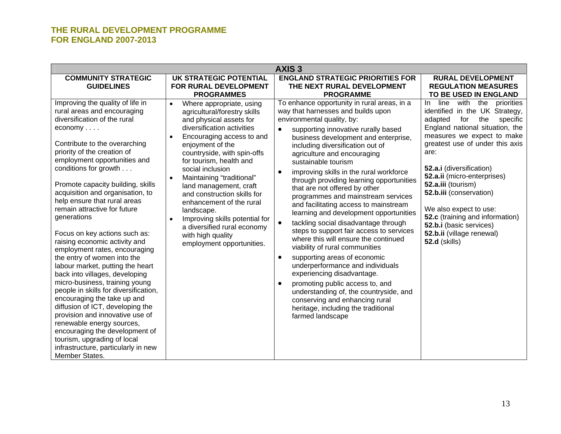#### **OPMENT PROGRAMME THE RURAL DEVEL07-2013 FOR ENGLAND 20**

| <b>AXIS3</b>                                                                                                                                                                                                                                                                                                                                                                                                                                                                                                                                                                                                                                                                                                                                                                                                                                                                                                                                                  |                                                                                                                                                                                                                                                                                                                                                                                                                                                                                                                                                         |                                                                                                                                                                                                                                                                                                                                                                                                                                                                                                                                                                                                                                                                                                                                                                                                                                                                                                                                                                                                                                                      |                                                                                                                                                                                                                                                                                                                                                                                                                                                                                   |
|---------------------------------------------------------------------------------------------------------------------------------------------------------------------------------------------------------------------------------------------------------------------------------------------------------------------------------------------------------------------------------------------------------------------------------------------------------------------------------------------------------------------------------------------------------------------------------------------------------------------------------------------------------------------------------------------------------------------------------------------------------------------------------------------------------------------------------------------------------------------------------------------------------------------------------------------------------------|---------------------------------------------------------------------------------------------------------------------------------------------------------------------------------------------------------------------------------------------------------------------------------------------------------------------------------------------------------------------------------------------------------------------------------------------------------------------------------------------------------------------------------------------------------|------------------------------------------------------------------------------------------------------------------------------------------------------------------------------------------------------------------------------------------------------------------------------------------------------------------------------------------------------------------------------------------------------------------------------------------------------------------------------------------------------------------------------------------------------------------------------------------------------------------------------------------------------------------------------------------------------------------------------------------------------------------------------------------------------------------------------------------------------------------------------------------------------------------------------------------------------------------------------------------------------------------------------------------------------|-----------------------------------------------------------------------------------------------------------------------------------------------------------------------------------------------------------------------------------------------------------------------------------------------------------------------------------------------------------------------------------------------------------------------------------------------------------------------------------|
| <b>COMMUNITY STRATEGIC</b><br><b>GUIDELINES</b>                                                                                                                                                                                                                                                                                                                                                                                                                                                                                                                                                                                                                                                                                                                                                                                                                                                                                                               | <b>UK STRATEGIC POTENTIAL</b><br>FOR RURAL DEVELOPMENT<br><b>PROGRAMMES</b>                                                                                                                                                                                                                                                                                                                                                                                                                                                                             | <b>ENGLAND STRATEGIC PRIORITIES FOR</b><br>THE NEXT RURAL DEVELOPMENT<br><b>PROGRAMME</b>                                                                                                                                                                                                                                                                                                                                                                                                                                                                                                                                                                                                                                                                                                                                                                                                                                                                                                                                                            | <b>RURAL DEVELOPMENT</b><br><b>REGULATION MEASURES</b><br>TO BE USED IN ENGLAND                                                                                                                                                                                                                                                                                                                                                                                                   |
| Improving the quality of life in<br>rural areas and encouraging<br>diversification of the rural<br>$e_{\text{conomy}} \dots$<br>Contribute to the overarching<br>priority of the creation of<br>employment opportunities and<br>conditions for growth<br>Promote capacity building, skills<br>acquisition and organisation, to<br>help ensure that rural areas<br>remain attractive for future<br>generations<br>Focus on key actions such as:<br>raising economic activity and<br>employment rates, encouraging<br>the entry of women into the<br>labour market, putting the heart<br>back into villages, developing<br>micro-business, training young<br>people in skills for diversification,<br>encouraging the take up and<br>diffusion of ICT, developing the<br>provision and innovative use of<br>renewable energy sources,<br>encouraging the development of<br>tourism, upgrading of local<br>infrastructure, particularly in new<br>Member States. | Where appropriate, using<br>$\bullet$<br>agricultural/forestry skills<br>and physical assets for<br>diversification activities<br>Encouraging access to and<br>$\bullet$<br>enjoyment of the<br>countryside, with spin-offs<br>for tourism, health and<br>social inclusion<br>Maintaining "traditional"<br>$\bullet$<br>land management, craft<br>and construction skills for<br>enhancement of the rural<br>landscape.<br>Improving skills potential for<br>$\bullet$<br>a diversified rural economy<br>with high quality<br>employment opportunities. | To enhance opportunity in rural areas, in a<br>way that harnesses and builds upon<br>environmental quality, by:<br>supporting innovative rurally based<br>$\bullet$<br>business development and enterprise,<br>including diversification out of<br>agriculture and encouraging<br>sustainable tourism<br>improving skills in the rural workforce<br>$\bullet$<br>through providing learning opportunities<br>that are not offered by other<br>programmes and mainstream services<br>and facilitating access to mainstream<br>learning and development opportunities<br>tackling social disadvantage through<br>$\bullet$<br>steps to support fair access to services<br>where this will ensure the continued<br>viability of rural communities<br>supporting areas of economic<br>$\bullet$<br>underperformance and individuals<br>experiencing disadvantage.<br>promoting public access to, and<br>$\bullet$<br>understanding of, the countryside, and<br>conserving and enhancing rural<br>heritage, including the traditional<br>farmed landscape | with the<br>line<br>priorities<br>In.<br>identified in the UK Strategy,<br>adapted<br>for<br>the<br>specific<br>England national situation, the<br>measures we expect to make<br>greatest use of under this axis<br>are:<br>52.a.i (diversification)<br>52.a.ii (micro-enterprises)<br>52.a.iii (tourism)<br>52.b.iii (conservation)<br>We also expect to use:<br>52.c (training and information)<br>52.b.i (basic services)<br>52.b.ii (village renewal)<br><b>52.d</b> (skills) |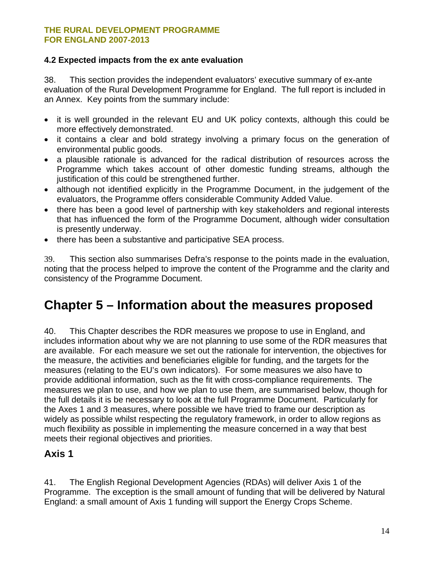#### <span id="page-13-0"></span>**4.2 Expected impacts from the ex ante evaluation**

38. This section provides the independent evaluators' executive summary of ex-ante evaluation of the Rural Development Programme for England. The full report is included in an Annex. Key points from the summary include:

- it is well grounded in the relevant EU and UK policy contexts, although this could be more effectively demonstrated.
- it contains a clear and bold strategy involving a primary focus on the generation of environmental public goods.
- a plausible rationale is advanced for the radical distribution of resources across the Programme which takes account of other domestic funding streams, although the justification of this could be strengthened further.
- although not identified explicitly in the Programme Document, in the judgement of the evaluators, the Programme offers considerable Community Added Value.
- there has been a good level of partnership with key stakeholders and regional interests that has influenced the form of the Programme Document, although wider consultation is presently underway.
- there has been a substantive and participative SEA process.

39. This section also summarises Defra's response to the points made in the evaluation, noting that the process helped to improve the content of the Programme and the clarity and consistency of the Programme Document.

### **Chapter 5 – Information about the measures proposed**

40. This Chapter describes the RDR measures we propose to use in England, and includes information about why we are not planning to use some of the RDR measures that are available. For each measure we set out the rationale for intervention, the objectives for the measure, the activities and beneficiaries eligible for funding, and the targets for the measures (relating to the EU's own indicators). For some measures we also have to provide additional information, such as the fit with cross-compliance requirements. The measures we plan to use, and how we plan to use them, are summarised below, though for the full details it is be necessary to look at the full Programme Document. Particularly for the Axes 1 and 3 measures, where possible we have tried to frame our description as widely as possible whilst respecting the regulatory framework, in order to allow regions as much flexibility as possible in implementing the measure concerned in a way that best meets their regional objectives and priorities.

### **Axis 1**

41. The English Regional Development Agencies (RDAs) will deliver Axis 1 of the Programme. The exception is the small amount of funding that will be delivered by Natural England: a small amount of Axis 1 funding will support the Energy Crops Scheme.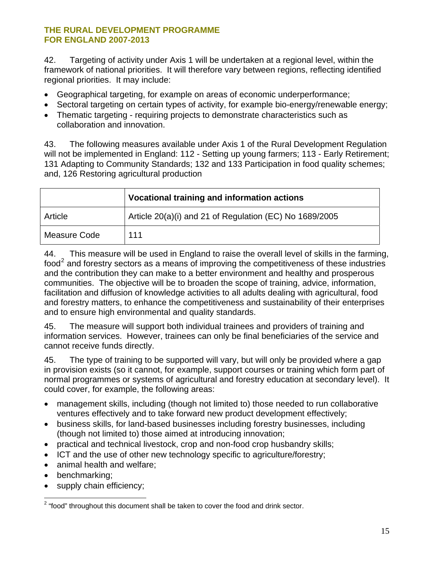<span id="page-14-0"></span>42. Targeting of activity under Axis 1 will be undertaken at a regional level, within the framework of national priorities. It will therefore vary between regions, reflecting identified regional priorities. It may include:

- Geographical targeting, for example on areas of economic underperformance;
- Sectoral targeting on certain types of activity, for example bio-energy/renewable energy;
- Thematic targeting requiring projects to demonstrate characteristics such as collaboration and innovation.

43. The following measures available under Axis 1 of the Rural Development Regulation will not be implemented in England: 112 - Setting up young farmers; 113 - Early Retirement; 131 Adapting to Community Standards; 132 and 133 Participation in food quality schemes; and, 126 Restoring agricultural production

|              | Vocational training and information actions             |
|--------------|---------------------------------------------------------|
| Article      | Article 20(a)(i) and 21 of Regulation (EC) No 1689/2005 |
| Measure Code | 111                                                     |

44. This measure will be used in England to raise the overall level of skills in the farming, food<sup>[2](#page-14-0)</sup> and forestry sectors as a means of improving the competitiveness of these industries and the contribution they can make to a better environment and healthy and prosperous communities. The objective will be to broaden the scope of training, advice, information, facilitation and diffusion of knowledge activities to all adults dealing with agricultural, food and forestry matters, to enhance the competitiveness and sustainability of their enterprises and to ensure high environmental and quality standards.

45. The measure will support both individual trainees and providers of training and information services. However, trainees can only be final beneficiaries of the service and cannot receive funds directly.

45. The type of training to be supported will vary, but will only be provided where a gap in provision exists (so it cannot, for example, support courses or training which form part of normal programmes or systems of agricultural and forestry education at secondary level). It could cover, for example, the following areas:

- management skills, including (though not limited to) those needed to run collaborative ventures effectively and to take forward new product development effectively;
- business skills, for land-based businesses including forestry businesses, including (though not limited to) those aimed at introducing innovation;
- practical and technical livestock, crop and non-food crop husbandry skills;
- ICT and the use of other new technology specific to agriculture/forestry;
- animal health and welfare:
- benchmarking;
- supply chain efficiency;

**EXECUTE:**<br>2 "food" throughout this document shall be taken to cover the food and drink sector.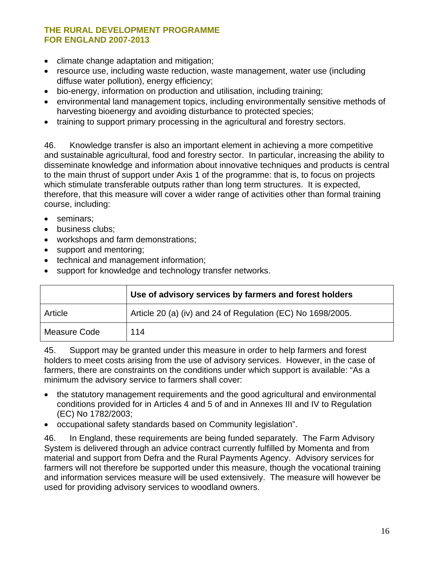- climate change adaptation and mitigation;
- resource use, including waste reduction, waste management, water use (including diffuse water pollution), energy efficiency;
- bio-energy, information on production and utilisation, including training;
- environmental land management topics, including environmentally sensitive methods of harvesting bioenergy and avoiding disturbance to protected species;
- training to support primary processing in the agricultural and forestry sectors.

46. Knowledge transfer is also an important element in achieving a more competitive and sustainable agricultural, food and forestry sector. In particular, increasing the ability to disseminate knowledge and information about innovative techniques and products is central to the main thrust of support under Axis 1 of the programme: that is, to focus on projects which stimulate transferable outputs rather than long term structures. It is expected, therefore, that this measure will cover a wider range of activities other than formal training course, including:

- seminars;
- business clubs:
- workshops and farm demonstrations;
- support and mentoring;
- technical and management information;
- support for knowledge and technology transfer networks.

|              | Use of advisory services by farmers and forest holders      |
|--------------|-------------------------------------------------------------|
| Article      | Article 20 (a) (iv) and 24 of Regulation (EC) No 1698/2005. |
| Measure Code | 114                                                         |

45. Support may be granted under this measure in order to help farmers and forest holders to meet costs arising from the use of advisory services. However, in the case of farmers, there are constraints on the conditions under which support is available: "As a minimum the advisory service to farmers shall cover:

- the statutory management requirements and the good agricultural and environmental conditions provided for in Articles 4 and 5 of and in Annexes III and IV to Regulation (EC) No 1782/2003;
- occupational safety standards based on Community legislation".

46. In England, these requirements are being funded separately. The Farm Advisory System is delivered through an advice contract currently fulfilled by Momenta and from material and support from Defra and the Rural Payments Agency. Advisory services for farmers will not therefore be supported under this measure, though the vocational training and information services measure will be used extensively. The measure will however be used for providing advisory services to woodland owners.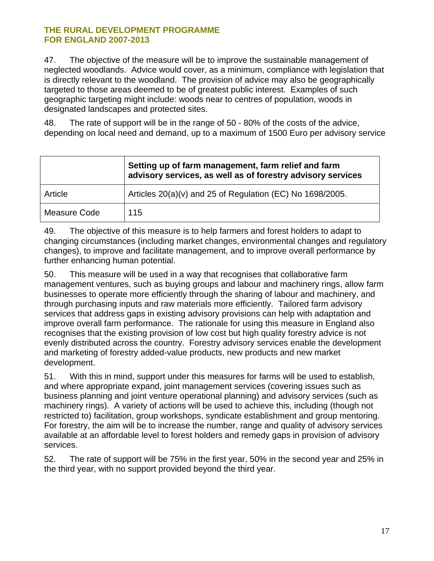47. The objective of the measure will be to improve the sustainable management of neglected woodlands. Advice would cover, as a minimum, compliance with legislation that is directly relevant to the woodland. The provision of advice may also be geographically targeted to those areas deemed to be of greatest public interest. Examples of such geographic targeting might include: woods near to centres of population, woods in designated landscapes and protected sites.

48. The rate of support will be in the range of 50 - 80% of the costs of the advice, depending on local need and demand, up to a maximum of 1500 Euro per advisory service

|              | Setting up of farm management, farm relief and farm<br>advisory services, as well as of forestry advisory services |
|--------------|--------------------------------------------------------------------------------------------------------------------|
| Article      | Articles 20(a)(v) and 25 of Regulation (EC) No 1698/2005.                                                          |
| Measure Code | 115                                                                                                                |

49. The objective of this measure is to help farmers and forest holders to adapt to changing circumstances (including market changes, environmental changes and regulatory changes), to improve and facilitate management, and to improve overall performance by further enhancing human potential.

50. This measure will be used in a way that recognises that collaborative farm management ventures, such as buying groups and labour and machinery rings, allow farm businesses to operate more efficiently through the sharing of labour and machinery, and through purchasing inputs and raw materials more efficiently. Tailored farm advisory services that address gaps in existing advisory provisions can help with adaptation and improve overall farm performance. The rationale for using this measure in England also recognises that the existing provision of low cost but high quality forestry advice is not evenly distributed across the country. Forestry advisory services enable the development and marketing of forestry added-value products, new products and new market development.

51. With this in mind, support under this measures for farms will be used to establish, and where appropriate expand, joint management services (covering issues such as business planning and joint venture operational planning) and advisory services (such as machinery rings). A variety of actions will be used to achieve this, including (though not restricted to) facilitation, group workshops, syndicate establishment and group mentoring. For forestry, the aim will be to increase the number, range and quality of advisory services available at an affordable level to forest holders and remedy gaps in provision of advisory services.

52. The rate of support will be 75% in the first year, 50% in the second year and 25% in the third year, with no support provided beyond the third year.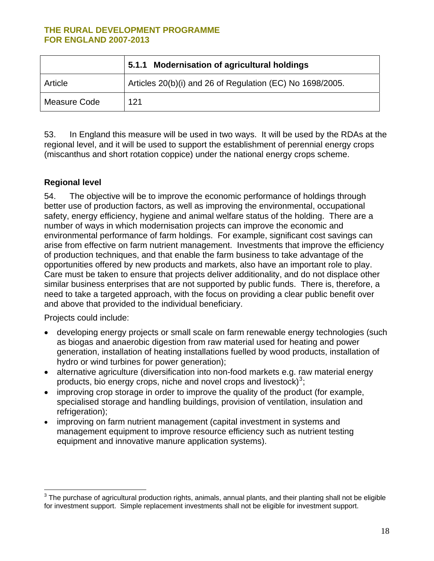<span id="page-17-0"></span>

|              | 5.1.1 Modernisation of agricultural holdings              |
|--------------|-----------------------------------------------------------|
| Article      | Articles 20(b)(i) and 26 of Regulation (EC) No 1698/2005. |
| Measure Code | 121                                                       |

53. In England this measure will be used in two ways. It will be used by the RDAs at the regional level, and it will be used to support the establishment of perennial energy crops (miscanthus and short rotation coppice) under the national energy crops scheme.

#### **Regional level**

54. The objective will be to improve the economic performance of holdings through better use of production factors, as well as improving the environmental, occupational safety, energy efficiency, hygiene and animal welfare status of the holding. There are a number of ways in which modernisation projects can improve the economic and environmental performance of farm holdings. For example, significant cost savings can arise from effective on farm nutrient management. Investments that improve the efficiency of production techniques, and that enable the farm business to take advantage of the opportunities offered by new products and markets, also have an important role to play. Care must be taken to ensure that projects deliver additionality, and do not displace other similar business enterprises that are not supported by public funds. There is, therefore, a need to take a targeted approach, with the focus on providing a clear public benefit over and above that provided to the individual beneficiary.

Projects could include:

- developing energy projects or small scale on farm renewable energy technologies (such as biogas and anaerobic digestion from raw material used for heating and power generation, installation of heating installations fuelled by wood products, installation of hydro or wind turbines for power generation);
- alternative agriculture (diversification into non-food markets e.g. raw material energy products, bio energy crops, niche and novel crops and livestock) $3$ ;
- improving crop storage in order to improve the quality of the product (for example, specialised storage and handling buildings, provision of ventilation, insulation and refrigeration);
- improving on farm nutrient management (capital investment in systems and management equipment to improve resource efficiency such as nutrient testing equipment and innovative manure application systems).

 3 The purchase of agricultural production rights, animals, annual plants, and their planting shall not be eligible for investment support. Simple replacement investments shall not be eligible for investment support.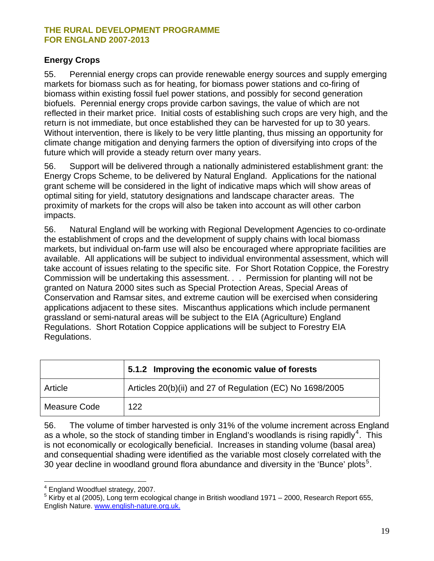#### <span id="page-18-0"></span>**Energy Crops**

55. Perennial energy crops can provide renewable energy sources and supply emerging markets for biomass such as for heating, for biomass power stations and co-firing of biomass within existing fossil fuel power stations, and possibly for second generation biofuels. Perennial energy crops provide carbon savings, the value of which are not reflected in their market price. Initial costs of establishing such crops are very high, and the return is not immediate, but once established they can be harvested for up to 30 years. Without intervention, there is likely to be very little planting, thus missing an opportunity for climate change mitigation and denying farmers the option of diversifying into crops of the future which will provide a steady return over many years.

56. Support will be delivered through a nationally administered establishment grant: the Energy Crops Scheme, to be delivered by Natural England. Applications for the national grant scheme will be considered in the light of indicative maps which will show areas of optimal siting for yield, statutory designations and landscape character areas. The proximity of markets for the crops will also be taken into account as will other carbon impacts.

56. Natural England will be working with Regional Development Agencies to co-ordinate the establishment of crops and the development of supply chains with local biomass markets, but individual on-farm use will also be encouraged where appropriate facilities are available. All applications will be subject to individual environmental assessment, which will take account of issues relating to the specific site. For Short Rotation Coppice, the Forestry Commission will be undertaking this assessment. . . Permission for planting will not be granted on Natura 2000 sites such as Special Protection Areas, Special Areas of Conservation and Ramsar sites, and extreme caution will be exercised when considering applications adjacent to these sites. Miscanthus applications which include permanent grassland or semi-natural areas will be subject to the EIA (Agriculture) England Regulations. Short Rotation Coppice applications will be subject to Forestry EIA Regulations.

|              | 5.1.2 Improving the economic value of forests             |
|--------------|-----------------------------------------------------------|
| Article      | Articles 20(b)(ii) and 27 of Regulation (EC) No 1698/2005 |
| Measure Code | 122                                                       |

56. The volume of timber harvested is only 31% of the volume increment across England as a whole, so the stock of standing timber in England's woodlands is rising rapidly<sup>[4](#page-18-0)</sup>. This is not economically or ecologically beneficial. Increases in standing volume (basal area) and consequential shading were identified as the variable most closely correlated with the 30 year decline in woodland ground flora abundance and diversity in the 'Bunce' plots<sup>[5](#page-18-0)</sup>.

 $\overline{a}$ <sup>4</sup> England Woodfuel strategy, 2007.

<sup>5</sup> Kirby et al (2005), Long term ecological change in British woodland 1971 – 2000, Research Report 655, English Nature. [www.english-nature.org.uk.](http://www.english-nature.org.uk./)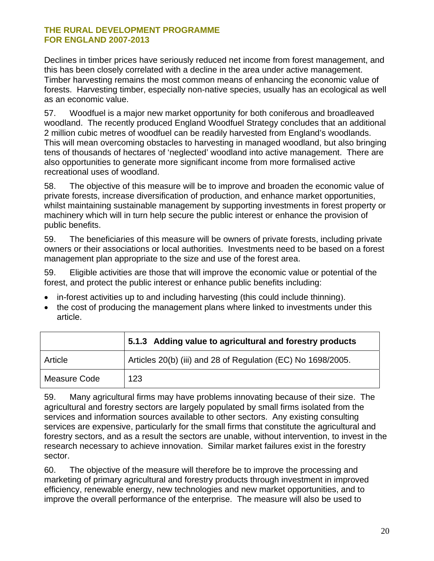Declines in timber prices have seriously reduced net income from forest management, and this has been closely correlated with a decline in the area under active management. Timber harvesting remains the most common means of enhancing the economic value of forests. Harvesting timber, especially non-native species, usually has an ecological as well as an economic value.

57. Woodfuel is a major new market opportunity for both coniferous and broadleaved woodland. The recently produced England Woodfuel Strategy concludes that an additional 2 million cubic metres of woodfuel can be readily harvested from England's woodlands. This will mean overcoming obstacles to harvesting in managed woodland, but also bringing tens of thousands of hectares of 'neglected' woodland into active management. There are also opportunities to generate more significant income from more formalised active recreational uses of woodland.

58. The objective of this measure will be to improve and broaden the economic value of private forests, increase diversification of production, and enhance market opportunities, whilst maintaining sustainable management by supporting investments in forest property or machinery which will in turn help secure the public interest or enhance the provision of public benefits.

59. The beneficiaries of this measure will be owners of private forests, including private owners or their associations or local authorities. Investments need to be based on a forest management plan appropriate to the size and use of the forest area.

59. Eligible activities are those that will improve the economic value or potential of the forest, and protect the public interest or enhance public benefits including:

- in-forest activities up to and including harvesting (this could include thinning).
- the cost of producing the management plans where linked to investments under this article.

|              | 5.1.3 Adding value to agricultural and forestry products     |
|--------------|--------------------------------------------------------------|
| Article      | Articles 20(b) (iii) and 28 of Regulation (EC) No 1698/2005. |
| Measure Code | 123                                                          |

59. Many agricultural firms may have problems innovating because of their size. The agricultural and forestry sectors are largely populated by small firms isolated from the services and information sources available to other sectors. Any existing consulting services are expensive, particularly for the small firms that constitute the agricultural and forestry sectors, and as a result the sectors are unable, without intervention, to invest in the research necessary to achieve innovation. Similar market failures exist in the forestry sector.

60. The objective of the measure will therefore be to improve the processing and marketing of primary agricultural and forestry products through investment in improved efficiency, renewable energy, new technologies and new market opportunities, and to improve the overall performance of the enterprise. The measure will also be used to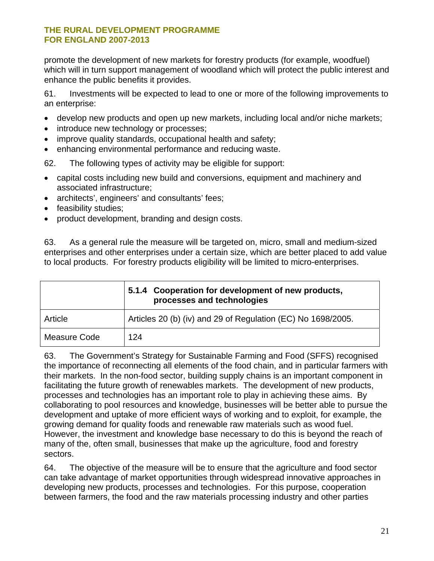promote the development of new markets for forestry products (for example, woodfuel) which will in turn support management of woodland which will protect the public interest and enhance the public benefits it provides.

61. Investments will be expected to lead to one or more of the following improvements to an enterprise:

- develop new products and open up new markets, including local and/or niche markets;
- introduce new technology or processes;
- improve quality standards, occupational health and safety;
- enhancing environmental performance and reducing waste.

62. The following types of activity may be eligible for support:

- capital costs including new build and conversions, equipment and machinery and associated infrastructure;
- architects', engineers' and consultants' fees;
- feasibility studies;
- product development, branding and design costs.

63. As a general rule the measure will be targeted on, micro, small and medium-sized enterprises and other enterprises under a certain size, which are better placed to add value to local products. For forestry products eligibility will be limited to micro-enterprises.

|              | 5.1.4 Cooperation for development of new products,<br>processes and technologies |
|--------------|----------------------------------------------------------------------------------|
| Article      | Articles 20 (b) (iv) and 29 of Regulation (EC) No 1698/2005.                     |
| Measure Code | 124                                                                              |

63. The Government's Strategy for Sustainable Farming and Food (SFFS) recognised the importance of reconnecting all elements of the food chain, and in particular farmers with their markets. In the non-food sector, building supply chains is an important component in facilitating the future growth of renewables markets. The development of new products, processes and technologies has an important role to play in achieving these aims. By collaborating to pool resources and knowledge, businesses will be better able to pursue the development and uptake of more efficient ways of working and to exploit, for example, the growing demand for quality foods and renewable raw materials such as wood fuel. However, the investment and knowledge base necessary to do this is beyond the reach of many of the, often small, businesses that make up the agriculture, food and forestry sectors.

64. The objective of the measure will be to ensure that the agriculture and food sector can take advantage of market opportunities through widespread innovative approaches in developing new products, processes and technologies. For this purpose, cooperation between farmers, the food and the raw materials processing industry and other parties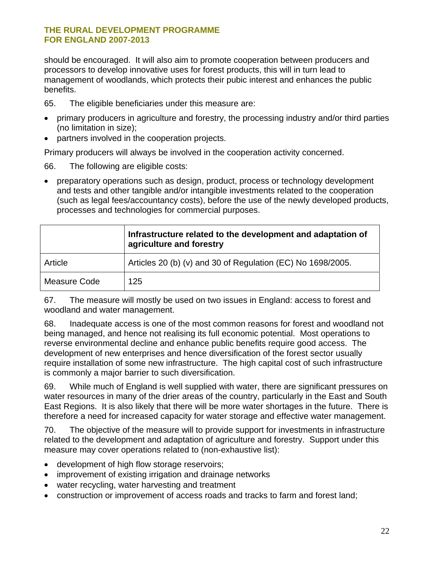should be encouraged. It will also aim to promote cooperation between producers and processors to develop innovative uses for forest products, this will in turn lead to management of woodlands, which protects their pubic interest and enhances the public benefits.

65. The eligible beneficiaries under this measure are:

- primary producers in agriculture and forestry, the processing industry and/or third parties (no limitation in size);
- partners involved in the cooperation projects.

Primary producers will always be involved in the cooperation activity concerned.

66. The following are eligible costs:

• preparatory operations such as design, product, process or technology development and tests and other tangible and/or intangible investments related to the cooperation (such as legal fees/accountancy costs), before the use of the newly developed products, processes and technologies for commercial purposes.

|              | Infrastructure related to the development and adaptation of<br>agriculture and forestry |
|--------------|-----------------------------------------------------------------------------------------|
| Article      | Articles 20 (b) (v) and 30 of Regulation (EC) No 1698/2005.                             |
| Measure Code | 125                                                                                     |

67. The measure will mostly be used on two issues in England: access to forest and woodland and water management.

68. Inadequate access is one of the most common reasons for forest and woodland not being managed, and hence not realising its full economic potential. Most operations to reverse environmental decline and enhance public benefits require good access. The development of new enterprises and hence diversification of the forest sector usually require installation of some new infrastructure. The high capital cost of such infrastructure is commonly a major barrier to such diversification.

69. While much of England is well supplied with water, there are significant pressures on water resources in many of the drier areas of the country, particularly in the East and South East Regions. It is also likely that there will be more water shortages in the future. There is therefore a need for increased capacity for water storage and effective water management.

70. The objective of the measure will to provide support for investments in infrastructure related to the development and adaptation of agriculture and forestry. Support under this measure may cover operations related to (non-exhaustive list):

- development of high flow storage reservoirs;
- improvement of existing irrigation and drainage networks
- water recycling, water harvesting and treatment
- construction or improvement of access roads and tracks to farm and forest land;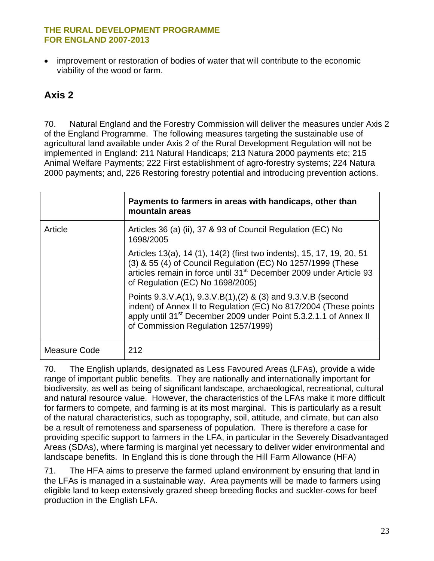<span id="page-22-0"></span>• improvement or restoration of bodies of water that will contribute to the economic viability of the wood or farm.

### **Axis 2**

70. Natural England and the Forestry Commission will deliver the measures under Axis 2 of the England Programme. The following measures targeting the sustainable use of agricultural land available under Axis 2 of the Rural Development Regulation will not be implemented in England: 211 Natural Handicaps; 213 Natura 2000 payments etc; 215 Animal Welfare Payments; 222 First establishment of agro-forestry systems; 224 Natura 2000 payments; and, 226 Restoring forestry potential and introducing prevention actions.

|              | Payments to farmers in areas with handicaps, other than<br>mountain areas                                                                                                                                                                                  |
|--------------|------------------------------------------------------------------------------------------------------------------------------------------------------------------------------------------------------------------------------------------------------------|
| Article      | Articles 36 (a) (ii), 37 & 93 of Council Regulation (EC) No<br>1698/2005                                                                                                                                                                                   |
|              | Articles 13(a), 14 (1), 14(2) (first two indents), 15, 17, 19, 20, 51<br>(3) & 55 (4) of Council Regulation (EC) No 1257/1999 (These<br>articles remain in force until 31 <sup>st</sup> December 2009 under Article 93<br>of Regulation (EC) No 1698/2005) |
|              | Points 9.3.V.A(1), 9.3.V.B(1),(2) & (3) and 9.3.V.B (second<br>indent) of Annex II to Regulation (EC) No 817/2004 (These points<br>apply until 31 <sup>st</sup> December 2009 under Point 5.3.2.1.1 of Annex II<br>of Commission Regulation 1257/1999)     |
| Measure Code | 212                                                                                                                                                                                                                                                        |

70. The English uplands, designated as Less Favoured Areas (LFAs), provide a wide range of important public benefits. They are nationally and internationally important for biodiversity, as well as being of significant landscape, archaeological, recreational, cultural and natural resource value. However, the characteristics of the LFAs make it more difficult for farmers to compete, and farming is at its most marginal. This is particularly as a result of the natural characteristics, such as topography, soil, attitude, and climate, but can also be a result of remoteness and sparseness of population. There is therefore a case for providing specific support to farmers in the LFA, in particular in the Severely Disadvantaged Areas (SDAs), where farming is marginal yet necessary to deliver wider environmental and landscape benefits. In England this is done through the Hill Farm Allowance (HFA)

71. The HFA aims to preserve the farmed upland environment by ensuring that land in the LFAs is managed in a sustainable way. Area payments will be made to farmers using eligible land to keep extensively grazed sheep breeding flocks and suckler-cows for beef production in the English LFA.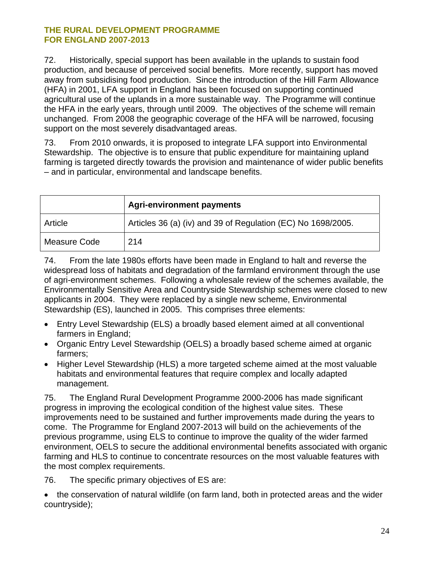72. Historically, special support has been available in the uplands to sustain food production, and because of perceived social benefits. More recently, support has moved away from subsidising food production. Since the introduction of the Hill Farm Allowance (HFA) in 2001, LFA support in England has been focused on supporting continued agricultural use of the uplands in a more sustainable way. The Programme will continue the HFA in the early years, through until 2009. The objectives of the scheme will remain unchanged. From 2008 the geographic coverage of the HFA will be narrowed, focusing support on the most severely disadvantaged areas.

73. From 2010 onwards, it is proposed to integrate LFA support into Environmental Stewardship. The objective is to ensure that public expenditure for maintaining upland farming is targeted directly towards the provision and maintenance of wider public benefits – and in particular, environmental and landscape benefits.

|              | <b>Agri-environment payments</b>                             |
|--------------|--------------------------------------------------------------|
| Article      | Articles 36 (a) (iv) and 39 of Regulation (EC) No 1698/2005. |
| Measure Code | 214                                                          |

74. From the late 1980s efforts have been made in England to halt and reverse the widespread loss of habitats and degradation of the farmland environment through the use of agri-environment schemes. Following a wholesale review of the schemes available, the Environmentally Sensitive Area and Countryside Stewardship schemes were closed to new applicants in 2004. They were replaced by a single new scheme, Environmental Stewardship (ES), launched in 2005. This comprises three elements:

- Entry Level Stewardship (ELS) a broadly based element aimed at all conventional farmers in England;
- Organic Entry Level Stewardship (OELS) a broadly based scheme aimed at organic farmers;
- Higher Level Stewardship (HLS) a more targeted scheme aimed at the most valuable habitats and environmental features that require complex and locally adapted management.

75. The England Rural Development Programme 2000-2006 has made significant progress in improving the ecological condition of the highest value sites. These improvements need to be sustained and further improvements made during the years to come. The Programme for England 2007-2013 will build on the achievements of the previous programme, using ELS to continue to improve the quality of the wider farmed environment, OELS to secure the additional environmental benefits associated with organic farming and HLS to continue to concentrate resources on the most valuable features with the most complex requirements.

76. The specific primary objectives of ES are:

• the conservation of natural wildlife (on farm land, both in protected areas and the wider countryside);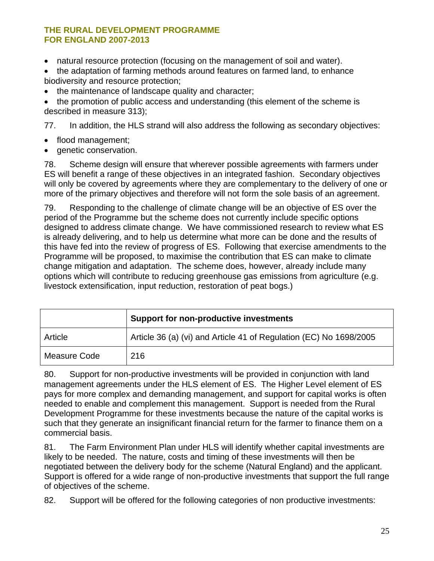- natural resource protection (focusing on the management of soil and water).
- the adaptation of farming methods around features on farmed land, to enhance biodiversity and resource protection;
- the maintenance of landscape quality and character;

• the promotion of public access and understanding (this element of the scheme is described in measure 313);

77. In addition, the HLS strand will also address the following as secondary objectives:

- flood management;
- genetic conservation.

78. Scheme design will ensure that wherever possible agreements with farmers under ES will benefit a range of these objectives in an integrated fashion. Secondary objectives will only be covered by agreements where they are complementary to the delivery of one or more of the primary objectives and therefore will not form the sole basis of an agreement.

79. Responding to the challenge of climate change will be an objective of ES over the period of the Programme but the scheme does not currently include specific options designed to address climate change. We have commissioned research to review what ES is already delivering, and to help us determine what more can be done and the results of this have fed into the review of progress of ES. Following that exercise amendments to the Programme will be proposed, to maximise the contribution that ES can make to climate change mitigation and adaptation. The scheme does, however, already include many options which will contribute to reducing greenhouse gas emissions from agriculture (e.g. livestock extensification, input reduction, restoration of peat bogs.)

|              | <b>Support for non-productive investments</b>                      |
|--------------|--------------------------------------------------------------------|
| Article      | Article 36 (a) (vi) and Article 41 of Regulation (EC) No 1698/2005 |
| Measure Code | 216                                                                |

80. Support for non-productive investments will be provided in conjunction with land management agreements under the HLS element of ES. The Higher Level element of ES pays for more complex and demanding management, and support for capital works is often needed to enable and complement this management. Support is needed from the Rural Development Programme for these investments because the nature of the capital works is such that they generate an insignificant financial return for the farmer to finance them on a commercial basis.

81. The Farm Environment Plan under HLS will identify whether capital investments are likely to be needed. The nature, costs and timing of these investments will then be negotiated between the delivery body for the scheme (Natural England) and the applicant. Support is offered for a wide range of non-productive investments that support the full range of objectives of the scheme.

82. Support will be offered for the following categories of non productive investments: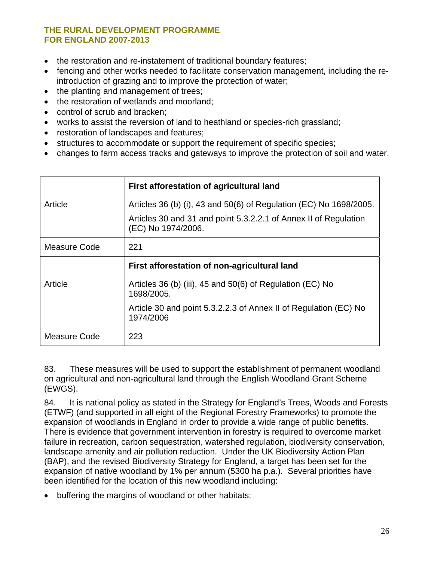- the restoration and re-instatement of traditional boundary features;
- fencing and other works needed to facilitate conservation management, including the reintroduction of grazing and to improve the protection of water;
- the planting and management of trees;
- the restoration of wetlands and moorland;
- control of scrub and bracken;
- works to assist the reversion of land to heathland or species-rich grassland;
- restoration of landscapes and features;
- structures to accommodate or support the requirement of specific species;
- changes to farm access tracks and gateways to improve the protection of soil and water.

|              | First afforestation of agricultural land                                               |
|--------------|----------------------------------------------------------------------------------------|
| Article      | Articles 36 (b) (i), 43 and 50(6) of Regulation (EC) No 1698/2005.                     |
|              | Articles 30 and 31 and point 5.3.2.2.1 of Annex II of Regulation<br>(EC) No 1974/2006. |
| Measure Code | 221                                                                                    |
|              | First afforestation of non-agricultural land                                           |
| Article      | Articles 36 (b) (iii), 45 and 50(6) of Regulation (EC) No<br>1698/2005.                |
|              | Article 30 and point 5.3.2.2.3 of Annex II of Regulation (EC) No<br>1974/2006          |
| Measure Code | 223                                                                                    |

83. These measures will be used to support the establishment of permanent woodland on agricultural and non-agricultural land through the English Woodland Grant Scheme (EWGS).

84. It is national policy as stated in the Strategy for England's Trees, Woods and Forests (ETWF) (and supported in all eight of the Regional Forestry Frameworks) to promote the expansion of woodlands in England in order to provide a wide range of public benefits. There is evidence that government intervention in forestry is required to overcome market failure in recreation, carbon sequestration, watershed regulation, biodiversity conservation, landscape amenity and air pollution reduction. Under the UK Biodiversity Action Plan (BAP), and the revised Biodiversity Strategy for England, a target has been set for the expansion of native woodland by 1% per annum (5300 ha p.a.). Several priorities have been identified for the location of this new woodland including:

• buffering the margins of woodland or other habitats;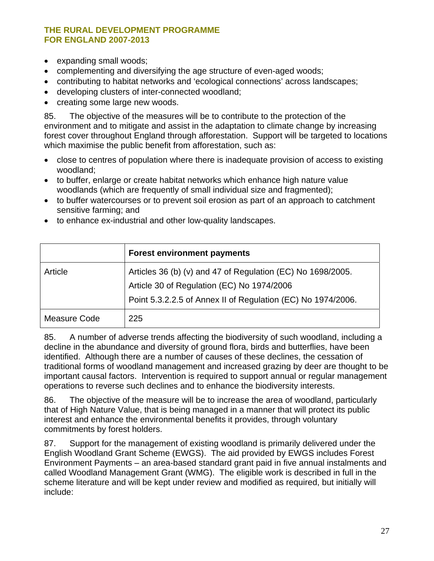- expanding small woods;
- complementing and diversifying the age structure of even-aged woods;
- contributing to habitat networks and 'ecological connections' across landscapes;
- developing clusters of inter-connected woodland;
- creating some large new woods.

85. The objective of the measures will be to contribute to the protection of the environment and to mitigate and assist in the adaptation to climate change by increasing forest cover throughout England through afforestation. Support will be targeted to locations which maximise the public benefit from afforestation, such as:

- close to centres of population where there is inadequate provision of access to existing woodland;
- to buffer, enlarge or create habitat networks which enhance high nature value woodlands (which are frequently of small individual size and fragmented);
- to buffer watercourses or to prevent soil erosion as part of an approach to catchment sensitive farming; and
- to enhance ex-industrial and other low-quality landscapes.

|              | <b>Forest environment payments</b>                                                                        |
|--------------|-----------------------------------------------------------------------------------------------------------|
| Article      | Articles 36 (b) (v) and 47 of Regulation (EC) No 1698/2005.<br>Article 30 of Regulation (EC) No 1974/2006 |
|              | Point 5.3.2.2.5 of Annex II of Regulation (EC) No 1974/2006.                                              |
| Measure Code | 225                                                                                                       |

85. A number of adverse trends affecting the biodiversity of such woodland, including a decline in the abundance and diversity of ground flora, birds and butterflies, have been identified. Although there are a number of causes of these declines, the cessation of traditional forms of woodland management and increased grazing by deer are thought to be important causal factors. Intervention is required to support annual or regular management operations to reverse such declines and to enhance the biodiversity interests.

86. The objective of the measure will be to increase the area of woodland, particularly that of High Nature Value, that is being managed in a manner that will protect its public interest and enhance the environmental benefits it provides, through voluntary commitments by forest holders.

87. Support for the management of existing woodland is primarily delivered under the English Woodland Grant Scheme (EWGS). The aid provided by EWGS includes Forest Environment Payments – an area-based standard grant paid in five annual instalments and called Woodland Management Grant (WMG). The eligible work is described in full in the scheme literature and will be kept under review and modified as required, but initially will include: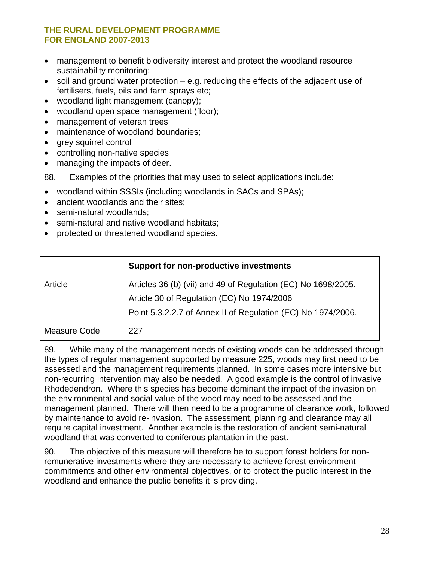- management to benefit biodiversity interest and protect the woodland resource sustainability monitoring;
- soil and ground water protection e.g. reducing the effects of the adjacent use of fertilisers, fuels, oils and farm sprays etc;
- woodland light management (canopy);
- woodland open space management (floor);
- management of veteran trees
- maintenance of woodland boundaries;
- grey squirrel control
- controlling non-native species
- managing the impacts of deer.

88. Examples of the priorities that may used to select applications include:

- woodland within SSSIs (including woodlands in SACs and SPAs);
- ancient woodlands and their sites;
- semi-natural woodlands:
- semi-natural and native woodland habitats:
- protected or threatened woodland species.

|              | <b>Support for non-productive investments</b>                                                                                                                               |
|--------------|-----------------------------------------------------------------------------------------------------------------------------------------------------------------------------|
| Article      | Articles 36 (b) (vii) and 49 of Regulation (EC) No 1698/2005.<br>Article 30 of Regulation (EC) No 1974/2006<br>Point 5.3.2.2.7 of Annex II of Regulation (EC) No 1974/2006. |
| Measure Code | 227                                                                                                                                                                         |

89. While many of the management needs of existing woods can be addressed through the types of regular management supported by measure 225, woods may first need to be assessed and the management requirements planned. In some cases more intensive but non-recurring intervention may also be needed. A good example is the control of invasive Rhodedendron. Where this species has become dominant the impact of the invasion on the environmental and social value of the wood may need to be assessed and the management planned. There will then need to be a programme of clearance work, followed by maintenance to avoid re-invasion. The assessment, planning and clearance may all require capital investment. Another example is the restoration of ancient semi-natural woodland that was converted to coniferous plantation in the past.

90. The objective of this measure will therefore be to support forest holders for nonremunerative investments where they are necessary to achieve forest-environment commitments and other environmental objectives, or to protect the public interest in the woodland and enhance the public benefits it is providing.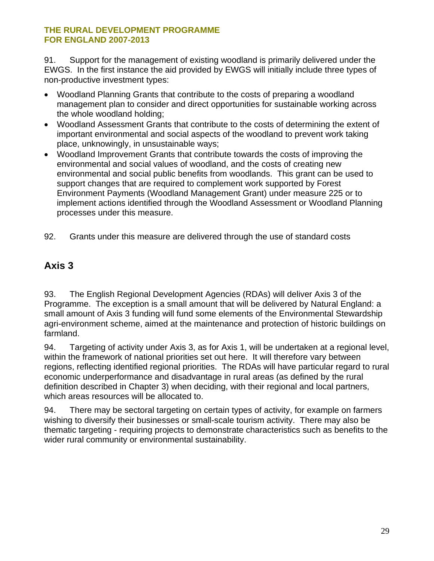<span id="page-28-0"></span>91. Support for the management of existing woodland is primarily delivered under the EWGS. In the first instance the aid provided by EWGS will initially include three types of non-productive investment types:

- Woodland Planning Grants that contribute to the costs of preparing a woodland management plan to consider and direct opportunities for sustainable working across the whole woodland holding;
- Woodland Assessment Grants that contribute to the costs of determining the extent of important environmental and social aspects of the woodland to prevent work taking place, unknowingly, in unsustainable ways;
- Woodland Improvement Grants that contribute towards the costs of improving the environmental and social values of woodland, and the costs of creating new environmental and social public benefits from woodlands. This grant can be used to support changes that are required to complement work supported by Forest Environment Payments (Woodland Management Grant) under measure 225 or to implement actions identified through the Woodland Assessment or Woodland Planning processes under this measure.
- 92. Grants under this measure are delivered through the use of standard costs

### **Axis 3**

93. The English Regional Development Agencies (RDAs) will deliver Axis 3 of the Programme. The exception is a small amount that will be delivered by Natural England: a small amount of Axis 3 funding will fund some elements of the Environmental Stewardship agri-environment scheme, aimed at the maintenance and protection of historic buildings on farmland.

94. Targeting of activity under Axis 3, as for Axis 1, will be undertaken at a regional level, within the framework of national priorities set out here. It will therefore vary between regions, reflecting identified regional priorities. The RDAs will have particular regard to rural economic underperformance and disadvantage in rural areas (as defined by the rural definition described in Chapter 3) when deciding, with their regional and local partners, which areas resources will be allocated to.

94. There may be sectoral targeting on certain types of activity, for example on farmers wishing to diversify their businesses or small-scale tourism activity. There may also be thematic targeting - requiring projects to demonstrate characteristics such as benefits to the wider rural community or environmental sustainability.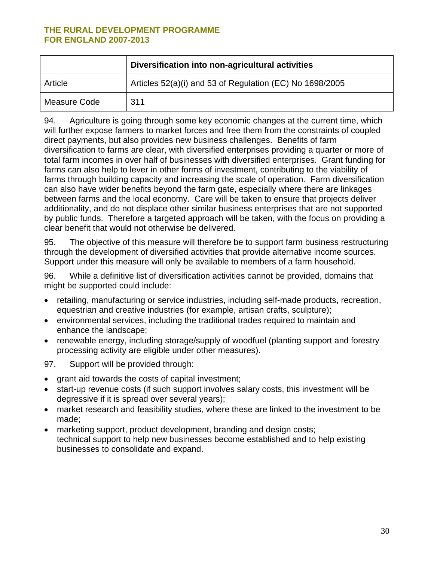|              | Diversification into non-agricultural activities         |
|--------------|----------------------------------------------------------|
| Article      | Articles 52(a)(i) and 53 of Regulation (EC) No 1698/2005 |
| Measure Code | 311                                                      |

94. Agriculture is going through some key economic changes at the current time, which will further expose farmers to market forces and free them from the constraints of coupled direct payments, but also provides new business challenges. Benefits of farm diversification to farms are clear, with diversified enterprises providing a quarter or more of total farm incomes in over half of businesses with diversified enterprises. Grant funding for farms can also help to lever in other forms of investment, contributing to the viability of farms through building capacity and increasing the scale of operation. Farm diversification can also have wider benefits beyond the farm gate, especially where there are linkages between farms and the local economy. Care will be taken to ensure that projects deliver additionality, and do not displace other similar business enterprises that are not supported by public funds. Therefore a targeted approach will be taken, with the focus on providing a clear benefit that would not otherwise be delivered.

95. The objective of this measure will therefore be to support farm business restructuring through the development of diversified activities that provide alternative income sources. Support under this measure will only be available to members of a farm household.

96. While a definitive list of diversification activities cannot be provided, domains that might be supported could include:

- retailing, manufacturing or service industries, including self-made products, recreation, equestrian and creative industries (for example, artisan crafts, sculpture);
- environmental services, including the traditional trades required to maintain and enhance the landscape;
- renewable energy, including storage/supply of woodfuel (planting support and forestry processing activity are eligible under other measures).
- 97. Support will be provided through:
- grant aid towards the costs of capital investment;
- start-up revenue costs (if such support involves salary costs, this investment will be degressive if it is spread over several years);
- market research and feasibility studies, where these are linked to the investment to be made;
- marketing support, product development, branding and design costs; technical support to help new businesses become established and to help existing businesses to consolidate and expand.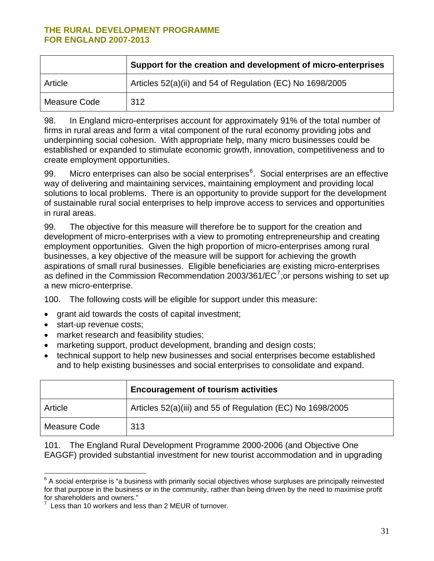<span id="page-30-0"></span>

|              | Support for the creation and development of micro-enterprises |
|--------------|---------------------------------------------------------------|
| Article      | Articles 52(a)(ii) and 54 of Regulation (EC) No 1698/2005     |
| Measure Code | 312                                                           |

98. In England micro-enterprises account for approximately 91% of the total number of firms in rural areas and form a vital component of the rural economy providing jobs and underpinning social cohesion. With appropriate help, many micro businesses could be established or expanded to stimulate economic growth, innovation, competitiveness and to create employment opportunities.

99. Micro enterprises can also be social enterprises<sup>[6](#page-30-0)</sup>. Social enterprises are an effective way of delivering and maintaining services, maintaining employment and providing local solutions to local problems. There is an opportunity to provide support for the development of sustainable rural social enterprises to help improve access to services and opportunities in rural areas.

99. The objective for this measure will therefore be to support for the creation and development of micro-enterprises with a view to promoting entrepreneurship and creating employment opportunities. Given the high proportion of micro-enterprises among rural businesses, a key objective of the measure will be support for achieving the growth aspirations of small rural businesses. Eligible beneficiaries are existing micro-enterprises as defined in the Commission Recommendation 2003/361/EC<sup>[7](#page-30-0)</sup>; or persons wishing to set up a new micro-enterprise.

100. The following costs will be eligible for support under this measure:

- grant aid towards the costs of capital investment;
- start-up revenue costs;
- market research and feasibility studies;
- marketing support, product development, branding and design costs;
- technical support to help new businesses and social enterprises become established and to help existing businesses and social enterprises to consolidate and expand.

|              | <b>Encouragement of tourism activities</b>                 |
|--------------|------------------------------------------------------------|
| Article      | Articles 52(a)(iii) and 55 of Regulation (EC) No 1698/2005 |
| Measure Code | 313                                                        |

101. The England Rural Development Programme 2000-2006 (and Objective One EAGGF) provided substantial investment for new tourist accommodation and in upgrading

 $\overline{a}$  $6$  A social enterprise is "a business with primarily social objectives whose surpluses are principally reinvested for that purpose in the business or in the community, rather than being driven by the need to maximise profit for shareholders and owners."

<sup>7</sup> Less than 10 workers and less than 2 MEUR of turnover.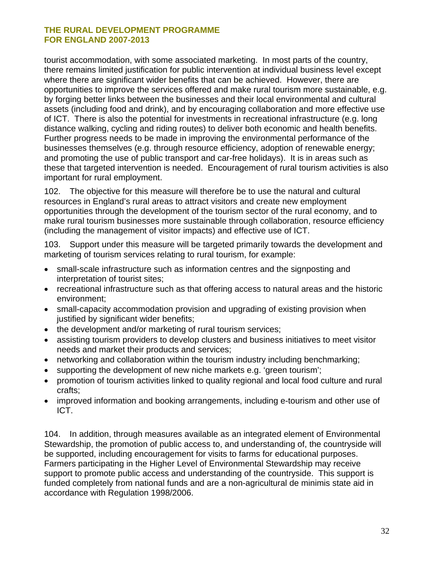tourist accommodation, with some associated marketing. In most parts of the country, there remains limited justification for public intervention at individual business level except where there are significant wider benefits that can be achieved. However, there are opportunities to improve the services offered and make rural tourism more sustainable, e.g. by forging better links between the businesses and their local environmental and cultural assets (including food and drink), and by encouraging collaboration and more effective use of ICT. There is also the potential for investments in recreational infrastructure (e.g. long distance walking, cycling and riding routes) to deliver both economic and health benefits. Further progress needs to be made in improving the environmental performance of the businesses themselves (e.g. through resource efficiency, adoption of renewable energy; and promoting the use of public transport and car-free holidays). It is in areas such as these that targeted intervention is needed. Encouragement of rural tourism activities is also important for rural employment.

102. The objective for this measure will therefore be to use the natural and cultural resources in England's rural areas to attract visitors and create new employment opportunities through the development of the tourism sector of the rural economy, and to make rural tourism businesses more sustainable through collaboration, resource efficiency (including the management of visitor impacts) and effective use of ICT.

103. Support under this measure will be targeted primarily towards the development and marketing of tourism services relating to rural tourism, for example:

- small-scale infrastructure such as information centres and the signposting and interpretation of tourist sites;
- recreational infrastructure such as that offering access to natural areas and the historic environment;
- small-capacity accommodation provision and upgrading of existing provision when justified by significant wider benefits;
- the development and/or marketing of rural tourism services;
- assisting tourism providers to develop clusters and business initiatives to meet visitor needs and market their products and services;
- networking and collaboration within the tourism industry including benchmarking;
- supporting the development of new niche markets e.g. 'green tourism';
- promotion of tourism activities linked to quality regional and local food culture and rural crafts;
- improved information and booking arrangements, including e-tourism and other use of ICT.

104. In addition, through measures available as an integrated element of Environmental Stewardship, the promotion of public access to, and understanding of, the countryside will be supported, including encouragement for visits to farms for educational purposes. Farmers participating in the Higher Level of Environmental Stewardship may receive support to promote public access and understanding of the countryside. This support is funded completely from national funds and are a non-agricultural de minimis state aid in accordance with Regulation 1998/2006.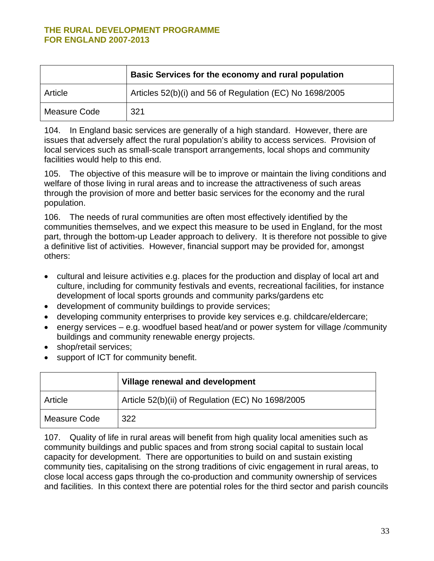|              | Basic Services for the economy and rural population      |
|--------------|----------------------------------------------------------|
| Article      | Articles 52(b)(i) and 56 of Regulation (EC) No 1698/2005 |
| Measure Code | 321                                                      |

104. In England basic services are generally of a high standard. However, there are issues that adversely affect the rural population's ability to access services. Provision of local services such as small-scale transport arrangements, local shops and community facilities would help to this end.

105. The objective of this measure will be to improve or maintain the living conditions and welfare of those living in rural areas and to increase the attractiveness of such areas through the provision of more and better basic services for the economy and the rural population.

106. The needs of rural communities are often most effectively identified by the communities themselves, and we expect this measure to be used in England, for the most part, through the bottom-up Leader approach to delivery. It is therefore not possible to give a definitive list of activities. However, financial support may be provided for, amongst others:

- cultural and leisure activities e.g. places for the production and display of local art and culture, including for community festivals and events, recreational facilities, for instance development of local sports grounds and community parks/gardens etc
- development of community buildings to provide services;
- developing community enterprises to provide key services e.g. childcare/eldercare;
- energy services e.g. woodfuel based heat/and or power system for village /community buildings and community renewable energy projects.
- shop/retail services;
- support of ICT for community benefit.

|              | Village renewal and development                   |
|--------------|---------------------------------------------------|
| Article      | Article 52(b)(ii) of Regulation (EC) No 1698/2005 |
| Measure Code | 322                                               |

107. Quality of life in rural areas will benefit from high quality local amenities such as community buildings and public spaces and from strong social capital to sustain local capacity for development. There are opportunities to build on and sustain existing community ties, capitalising on the strong traditions of civic engagement in rural areas, to close local access gaps through the co-production and community ownership of services and facilities. In this context there are potential roles for the third sector and parish councils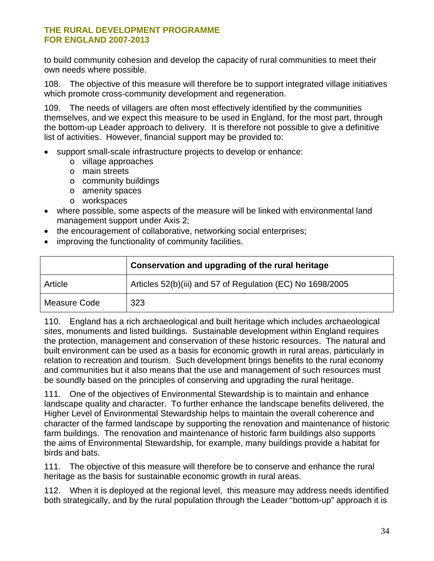to build community cohesion and develop the capacity of rural communities to meet their own needs where possible.

108. The objective of this measure will therefore be to support integrated village initiatives which promote cross-community development and regeneration.

109. The needs of villagers are often most effectively identified by the communities themselves, and we expect this measure to be used in England, for the most part, through the bottom-up Leader approach to delivery. It is therefore not possible to give a definitive list of activities. However, financial support may be provided to:

- support small-scale infrastructure projects to develop or enhance:
	- o village approaches
	- o main streets
	- o community buildings
	- o amenity spaces
	- o workspaces
- where possible, some aspects of the measure will be linked with environmental land management support under Axis 2;
- the encouragement of collaborative, networking social enterprises;
- improving the functionality of community facilities.

|              | Conservation and upgrading of the rural heritage           |
|--------------|------------------------------------------------------------|
| Article      | Articles 52(b)(iii) and 57 of Regulation (EC) No 1698/2005 |
| Measure Code | 323                                                        |

110. England has a rich archaeological and built heritage which includes archaeological sites, monuments and listed buildings. Sustainable development within England requires the protection, management and conservation of these historic resources. The natural and built environment can be used as a basis for economic growth in rural areas, particularly in relation to recreation and tourism. Such development brings benefits to the rural economy and communities but it also means that the use and management of such resources must be soundly based on the principles of conserving and upgrading the rural heritage.

111. One of the objectives of Environmental Stewardship is to maintain and enhance landscape quality and character. To further enhance the landscape benefits delivered, the Higher Level of Environmental Stewardship helps to maintain the overall coherence and character of the farmed landscape by supporting the renovation and maintenance of historic farm buildings. The renovation and maintenance of historic farm buildings also supports the aims of Environmental Stewardship, for example, many buildings provide a habitat for birds and bats.

111. The objective of this measure will therefore be to conserve and enhance the rural heritage as the basis for sustainable economic growth in rural areas.

112. When it is deployed at the regional level, this measure may address needs identified both strategically, and by the rural population through the Leader "bottom-up" approach it is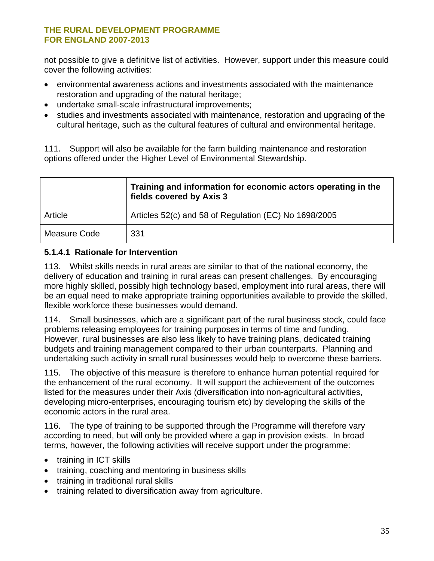not possible to give a definitive list of activities. However, support under this measure could cover the following activities:

- environmental awareness actions and investments associated with the maintenance restoration and upgrading of the natural heritage;
- undertake small-scale infrastructural improvements;
- studies and investments associated with maintenance, restoration and upgrading of the cultural heritage, such as the cultural features of cultural and environmental heritage.

111. Support will also be available for the farm building maintenance and restoration options offered under the Higher Level of Environmental Stewardship.

|              | Training and information for economic actors operating in the<br>fields covered by Axis 3 |  |
|--------------|-------------------------------------------------------------------------------------------|--|
| Article      | Articles 52(c) and 58 of Regulation (EC) No 1698/2005                                     |  |
| Measure Code | 331                                                                                       |  |

#### **5.1.4.1 Rationale for Intervention**

113. Whilst skills needs in rural areas are similar to that of the national economy, the delivery of education and training in rural areas can present challenges. By encouraging more highly skilled, possibly high technology based, employment into rural areas, there will be an equal need to make appropriate training opportunities available to provide the skilled, flexible workforce these businesses would demand.

114. Small businesses, which are a significant part of the rural business stock, could face problems releasing employees for training purposes in terms of time and funding. However, rural businesses are also less likely to have training plans, dedicated training budgets and training management compared to their urban counterparts. Planning and undertaking such activity in small rural businesses would help to overcome these barriers.

115. The objective of this measure is therefore to enhance human potential required for the enhancement of the rural economy. It will support the achievement of the outcomes listed for the measures under their Axis (diversification into non-agricultural activities, developing micro-enterprises, encouraging tourism etc) by developing the skills of the economic actors in the rural area.

116. The type of training to be supported through the Programme will therefore vary according to need, but will only be provided where a gap in provision exists. In broad terms, however, the following activities will receive support under the programme:

- training in ICT skills
- training, coaching and mentoring in business skills
- training in traditional rural skills
- training related to diversification away from agriculture.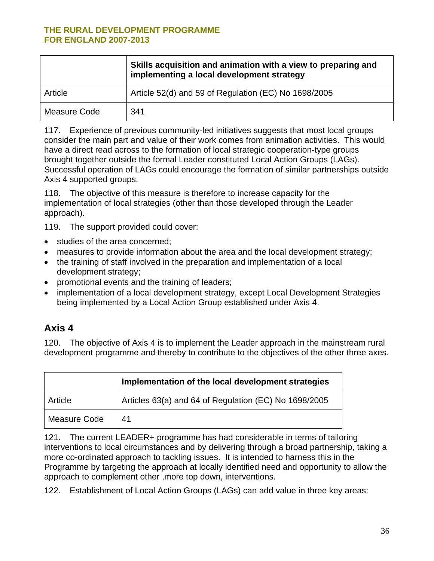<span id="page-35-0"></span>

|              | Skills acquisition and animation with a view to preparing and<br>implementing a local development strategy |  |
|--------------|------------------------------------------------------------------------------------------------------------|--|
| Article      | Article 52(d) and 59 of Regulation (EC) No 1698/2005                                                       |  |
| Measure Code | 341                                                                                                        |  |

117. Experience of previous community-led initiatives suggests that most local groups consider the main part and value of their work comes from animation activities. This would have a direct read across to the formation of local strategic cooperation-type groups brought together outside the formal Leader constituted Local Action Groups (LAGs). Successful operation of LAGs could encourage the formation of similar partnerships outside Axis 4 supported groups.

118. The objective of this measure is therefore to increase capacity for the implementation of local strategies (other than those developed through the Leader approach).

119. The support provided could cover:

- studies of the area concerned;
- measures to provide information about the area and the local development strategy;
- the training of staff involved in the preparation and implementation of a local development strategy;
- promotional events and the training of leaders;
- implementation of a local development strategy, except Local Development Strategies being implemented by a Local Action Group established under Axis 4.

### **Axis 4**

120. The objective of Axis 4 is to implement the Leader approach in the mainstream rural development programme and thereby to contribute to the objectives of the other three axes.

|                     | Implementation of the local development strategies    |  |
|---------------------|-------------------------------------------------------|--|
| Article             | Articles 63(a) and 64 of Regulation (EC) No 1698/2005 |  |
| <b>Measure Code</b> | 41                                                    |  |

121. The current LEADER+ programme has had considerable in terms of tailoring interventions to local circumstances and by delivering through a broad partnership, taking a more co-ordinated approach to tackling issues. It is intended to harness this in the Programme by targeting the approach at locally identified need and opportunity to allow the approach to complement other ,more top down, interventions.

122. Establishment of Local Action Groups (LAGs) can add value in three key areas: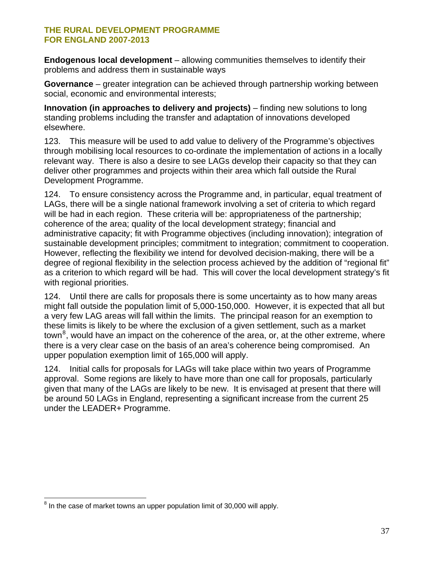<span id="page-36-0"></span>**Endogenous local development** – allowing communities themselves to identify their problems and address them in sustainable ways

**Governance** – greater integration can be achieved through partnership working between social, economic and environmental interests;

**Innovation (in approaches to delivery and projects)** – finding new solutions to long standing problems including the transfer and adaptation of innovations developed elsewhere.

123. This measure will be used to add value to delivery of the Programme's objectives through mobilising local resources to co-ordinate the implementation of actions in a locally relevant way. There is also a desire to see LAGs develop their capacity so that they can deliver other programmes and projects within their area which fall outside the Rural Development Programme.

124. To ensure consistency across the Programme and, in particular, equal treatment of LAGs, there will be a single national framework involving a set of criteria to which regard will be had in each region. These criteria will be: appropriateness of the partnership; coherence of the area; quality of the local development strategy; financial and administrative capacity; fit with Programme objectives (including innovation); integration of sustainable development principles; commitment to integration; commitment to cooperation. However, reflecting the flexibility we intend for devolved decision-making, there will be a degree of regional flexibility in the selection process achieved by the addition of "regional fit" as a criterion to which regard will be had. This will cover the local development strategy's fit with regional priorities.

124. Until there are calls for proposals there is some uncertainty as to how many areas might fall outside the population limit of 5,000-150,000. However, it is expected that all but a very few LAG areas will fall within the limits. The principal reason for an exemption to these limits is likely to be where the exclusion of a given settlement, such as a market town<sup>[8](#page-36-0)</sup>, would have an impact on the coherence of the area, or, at the other extreme, where there is a very clear case on the basis of an area's coherence being compromised. An upper population exemption limit of 165,000 will apply.

124. Initial calls for proposals for LAGs will take place within two years of Programme approval. Some regions are likely to have more than one call for proposals, particularly given that many of the LAGs are likely to be new. It is envisaged at present that there will be around 50 LAGs in England, representing a significant increase from the current 25 under the LEADER+ Programme.

 $\overline{a}$  $8$  In the case of market towns an upper population limit of 30,000 will apply.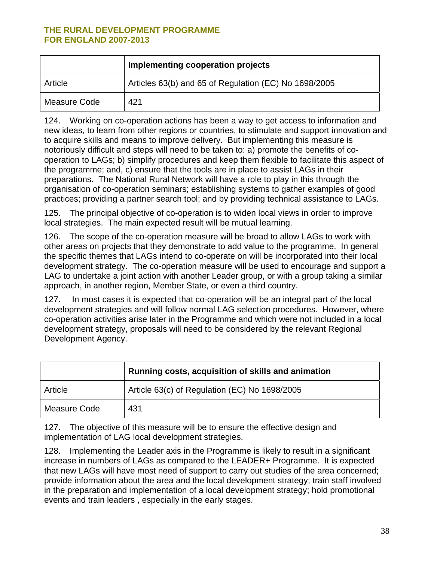|              | Implementing cooperation projects                     |  |
|--------------|-------------------------------------------------------|--|
| Article      | Articles 63(b) and 65 of Regulation (EC) No 1698/2005 |  |
| Measure Code | 421                                                   |  |

124. Working on co-operation actions has been a way to get access to information and new ideas, to learn from other regions or countries, to stimulate and support innovation and to acquire skills and means to improve delivery. But implementing this measure is notoriously difficult and steps will need to be taken to: a) promote the benefits of cooperation to LAGs; b) simplify procedures and keep them flexible to facilitate this aspect of the programme; and, c) ensure that the tools are in place to assist LAGs in their preparations. The National Rural Network will have a role to play in this through the organisation of co-operation seminars; establishing systems to gather examples of good practices; providing a partner search tool; and by providing technical assistance to LAGs.

125. The principal objective of co-operation is to widen local views in order to improve local strategies. The main expected result will be mutual learning.

126. The scope of the co-operation measure will be broad to allow LAGs to work with other areas on projects that they demonstrate to add value to the programme. In general the specific themes that LAGs intend to co-operate on will be incorporated into their local development strategy. The co-operation measure will be used to encourage and support a LAG to undertake a joint action with another Leader group, or with a group taking a similar approach, in another region, Member State, or even a third country.

127. In most cases it is expected that co-operation will be an integral part of the local development strategies and will follow normal LAG selection procedures. However, where co-operation activities arise later in the Programme and which were not included in a local development strategy, proposals will need to be considered by the relevant Regional Development Agency.

|              | Running costs, acquisition of skills and animation |  |
|--------------|----------------------------------------------------|--|
| Article      | Article 63(c) of Regulation (EC) No 1698/2005      |  |
| Measure Code | 431                                                |  |

127. The objective of this measure will be to ensure the effective design and implementation of LAG local development strategies.

128. Implementing the Leader axis in the Programme is likely to result in a significant increase in numbers of LAGs as compared to the LEADER+ Programme. It is expected that new LAGs will have most need of support to carry out studies of the area concerned; provide information about the area and the local development strategy; train staff involved in the preparation and implementation of a local development strategy; hold promotional events and train leaders , especially in the early stages.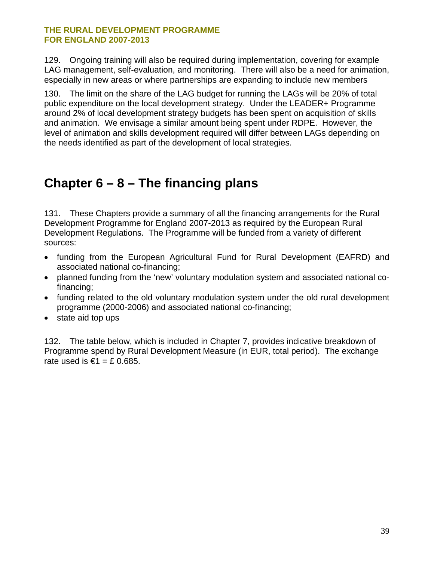<span id="page-38-0"></span>129. Ongoing training will also be required during implementation, covering for example LAG management, self-evaluation, and monitoring. There will also be a need for animation, especially in new areas or where partnerships are expanding to include new members

130. The limit on the share of the LAG budget for running the LAGs will be 20% of total public expenditure on the local development strategy. Under the LEADER+ Programme around 2% of local development strategy budgets has been spent on acquisition of skills and animation. We envisage a similar amount being spent under RDPE. However, the level of animation and skills development required will differ between LAGs depending on the needs identified as part of the development of local strategies.

### **Chapter 6 – 8 – The financing plans**

131. These Chapters provide a summary of all the financing arrangements for the Rural Development Programme for England 2007-2013 as required by the European Rural Development Regulations. The Programme will be funded from a variety of different sources:

- funding from the European Agricultural Fund for Rural Development (EAFRD) and associated national co-financing;
- planned funding from the 'new' voluntary modulation system and associated national cofinancing;
- funding related to the old voluntary modulation system under the old rural development programme (2000-2006) and associated national co-financing;
- state aid top ups

132. The table below, which is included in Chapter 7, provides indicative breakdown of Programme spend by Rural Development Measure (in EUR, total period). The exchange rate used is  $\epsilon$ 1 = £ 0.685.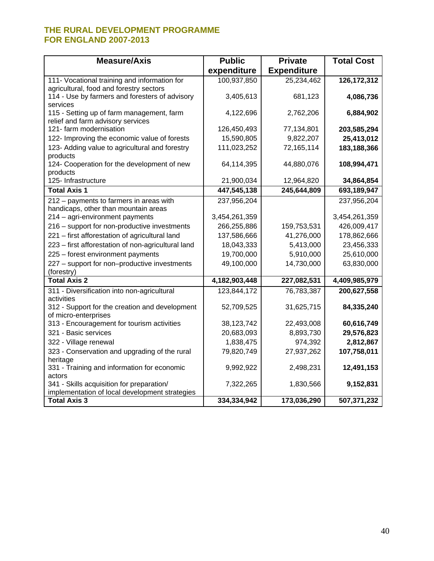| <b>Measure/Axis</b>                                                             | <b>Public</b> | <b>Private</b>     | <b>Total Cost</b> |
|---------------------------------------------------------------------------------|---------------|--------------------|-------------------|
|                                                                                 | expenditure   | <b>Expenditure</b> |                   |
| 111- Vocational training and information for                                    | 100,937,850   | 25,234,462         | 126, 172, 312     |
| agricultural, food and forestry sectors                                         |               |                    |                   |
| 114 - Use by farmers and foresters of advisory<br>services                      | 3,405,613     | 681,123            | 4,086,736         |
| 115 - Setting up of farm management, farm                                       | 4,122,696     | 2,762,206          | 6,884,902         |
| relief and farm advisory services                                               |               |                    |                   |
| 121- farm modernisation                                                         | 126,450,493   | 77,134,801         | 203,585,294       |
| 122- Improving the economic value of forests                                    | 15,590,805    | 9,822,207          | 25,413,012        |
| 123- Adding value to agricultural and forestry                                  | 111,023,252   | 72,165,114         | 183,188,366       |
| products                                                                        |               |                    |                   |
| 124- Cooperation for the development of new                                     | 64,114,395    | 44,880,076         | 108,994,471       |
| products<br>125- Infrastructure                                                 | 21,900,034    | 12,964,820         | 34,864,854        |
| <b>Total Axis 1</b>                                                             | 447,545,138   | 245,644,809        | 693,189,947       |
|                                                                                 |               |                    |                   |
| 212 - payments to farmers in areas with<br>handicaps, other than mountain areas | 237,956,204   |                    | 237,956,204       |
| 214 - agri-environment payments                                                 | 3,454,261,359 |                    | 3,454,261,359     |
| 216 - support for non-productive investments                                    | 266,255,886   | 159,753,531        | 426,009,417       |
| 221 - first afforestation of agricultural land                                  | 137,586,666   | 41,276,000         | 178,862,666       |
| 223 - first afforestation of non-agricultural land                              | 18,043,333    | 5,413,000          | 23,456,333        |
| 225 - forest environment payments                                               | 19,700,000    | 5,910,000          | 25,610,000        |
| 227 - support for non-productive investments                                    | 49,100,000    | 14,730,000         | 63,830,000        |
| (forestry)                                                                      |               |                    |                   |
| <b>Total Axis 2</b>                                                             | 4,182,903,448 | 227,082,531        | 4,409,985,979     |
| 311 - Diversification into non-agricultural                                     | 123,844,172   | 76,783,387         | 200,627,558       |
| activities                                                                      |               |                    |                   |
| 312 - Support for the creation and development                                  | 52,709,525    | 31,625,715         | 84,335,240        |
| of micro-enterprises<br>313 - Encouragement for tourism activities              | 38,123,742    | 22,493,008         | 60,616,749        |
| 321 - Basic services                                                            | 20,683,093    | 8,893,730          | 29,576,823        |
| 322 - Village renewal                                                           | 1,838,475     | 974,392            | 2,812,867         |
| 323 - Conservation and upgrading of the rural                                   | 79,820,749    | 27,937,262         | 107,758,011       |
| heritage                                                                        |               |                    |                   |
| 331 - Training and information for economic                                     | 9,992,922     | 2,498,231          | 12,491,153        |
| actors                                                                          |               |                    |                   |
| 341 - Skills acquisition for preparation/                                       | 7,322,265     | 1,830,566          | 9,152,831         |
| implementation of local development strategies                                  |               |                    |                   |
| <b>Total Axis 3</b>                                                             | 334,334,942   | 173,036,290        | 507,371,232       |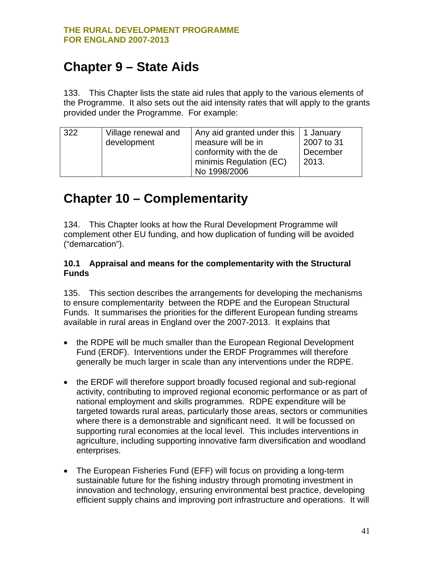# <span id="page-40-0"></span>**Chapter 9 – State Aids**

133. This Chapter lists the state aid rules that apply to the various elements of the Programme. It also sets out the aid intensity rates that will apply to the grants provided under the Programme. For example:

| 322 | Village renewal and | Any aid granted under this $\vert$ 1 January |            |
|-----|---------------------|----------------------------------------------|------------|
|     | development         | measure will be in                           | 2007 to 31 |
|     |                     |                                              | December   |
|     |                     | conformity with the de                       |            |
|     |                     | minimis Regulation (EC)                      | 2013.      |
|     |                     | No 1998/2006                                 |            |

# **Chapter 10 – Complementarity**

134. This Chapter looks at how the Rural Development Programme will complement other EU funding, and how duplication of funding will be avoided ("demarcation").

#### **10.1 Appraisal and means for the complementarity with the Structural Funds**

135. This section describes the arrangements for developing the mechanisms to ensure complementarity between the RDPE and the European Structural Funds. It summarises the priorities for the different European funding streams available in rural areas in England over the 2007-2013. It explains that

- the RDPE will be much smaller than the European Regional Development Fund (ERDF). Interventions under the ERDF Programmes will therefore generally be much larger in scale than any interventions under the RDPE.
- the ERDF will therefore support broadly focused regional and sub-regional activity, contributing to improved regional economic performance or as part of national employment and skills programmes. RDPE expenditure will be targeted towards rural areas, particularly those areas, sectors or communities where there is a demonstrable and significant need. It will be focussed on supporting rural economies at the local level. This includes interventions in agriculture, including supporting innovative farm diversification and woodland enterprises.
- The European Fisheries Fund (EFF) will focus on providing a long-term sustainable future for the fishing industry through promoting investment in innovation and technology, ensuring environmental best practice, developing efficient supply chains and improving port infrastructure and operations. It will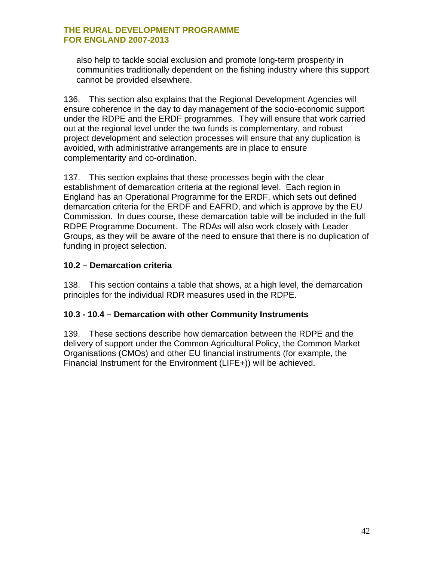also help to tackle social exclusion and promote long-term prosperity in communities traditionally dependent on the fishing industry where this support cannot be provided elsewhere.

136. This section also explains that the Regional Development Agencies will ensure coherence in the day to day management of the socio-economic support under the RDPE and the ERDF programmes. They will ensure that work carried out at the regional level under the two funds is complementary, and robust project development and selection processes will ensure that any duplication is avoided, with administrative arrangements are in place to ensure complementarity and co-ordination.

137. This section explains that these processes begin with the clear establishment of demarcation criteria at the regional level. Each region in England has an Operational Programme for the ERDF, which sets out defined demarcation criteria for the ERDF and EAFRD, and which is approve by the EU Commission. In dues course, these demarcation table will be included in the full RDPE Programme Document. The RDAs will also work closely with Leader Groups, as they will be aware of the need to ensure that there is no duplication of funding in project selection.

#### **10.2 – Demarcation criteria**

138. This section contains a table that shows, at a high level, the demarcation principles for the individual RDR measures used in the RDPE.

#### **10.3 - 10.4 – Demarcation with other Community Instruments**

139. These sections describe how demarcation between the RDPE and the delivery of support under the Common Agricultural Policy, the Common Market Organisations (CMOs) and other EU financial instruments (for example, the Financial Instrument for the Environment (LIFE+)) will be achieved.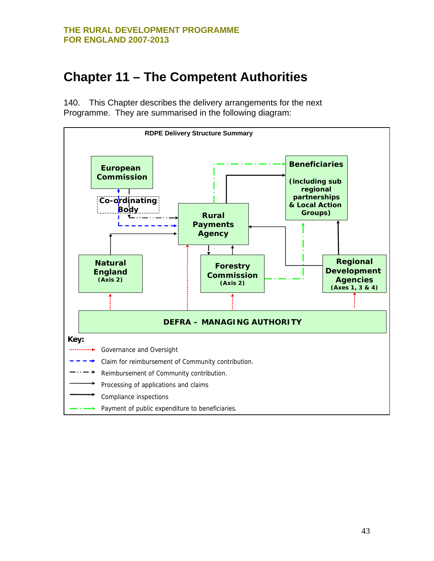### <span id="page-42-0"></span>**Chapter 11 – The Competent Authorities**

140. This Chapter describes the delivery arrangements for the next Programme. They are summarised in the following diagram:

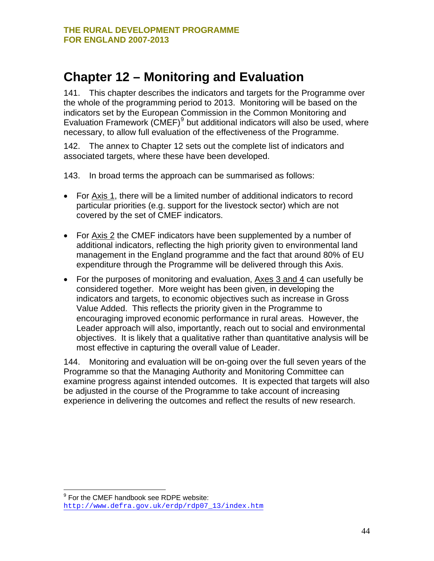### <span id="page-43-0"></span>**Chapter 12 – Monitoring and Evaluation**

141. This chapter describes the indicators and targets for the Programme over the whole of the programming period to 2013. Monitoring will be based on the indicators set by the European Commission in the Common Monitoring and Evaluation Framework  $(CMEF)^9$  $(CMEF)^9$  but additional indicators will also be used, where necessary, to allow full evaluation of the effectiveness of the Programme.

142. The annex to Chapter 12 sets out the complete list of indicators and associated targets, where these have been developed.

143. In broad terms the approach can be summarised as follows:

- For Axis 1, there will be a limited number of additional indicators to record particular priorities (e.g. support for the livestock sector) which are not covered by the set of CMEF indicators.
- For Axis 2 the CMEF indicators have been supplemented by a number of additional indicators, reflecting the high priority given to environmental land management in the England programme and the fact that around 80% of EU expenditure through the Programme will be delivered through this Axis.
- For the purposes of monitoring and evaluation, Axes 3 and 4 can usefully be considered together. More weight has been given, in developing the indicators and targets, to economic objectives such as increase in Gross Value Added. This reflects the priority given in the Programme to encouraging improved economic performance in rural areas. However, the Leader approach will also, importantly, reach out to social and environmental objectives. It is likely that a qualitative rather than quantitative analysis will be most effective in capturing the overall value of Leader.

144. Monitoring and evaluation will be on-going over the full seven years of the Programme so that the Managing Authority and Monitoring Committee can examine progress against intended outcomes. It is expected that targets will also be adjusted in the course of the Programme to take account of increasing experience in delivering the outcomes and reflect the results of new research.

 9 For the CMEF handbook see RDPE website: [http://www.defra.gov.uk/erdp/rdp07\\_13/index.htm](http://www.defra.gov.uk/erdp/rdp07_13/index.htm)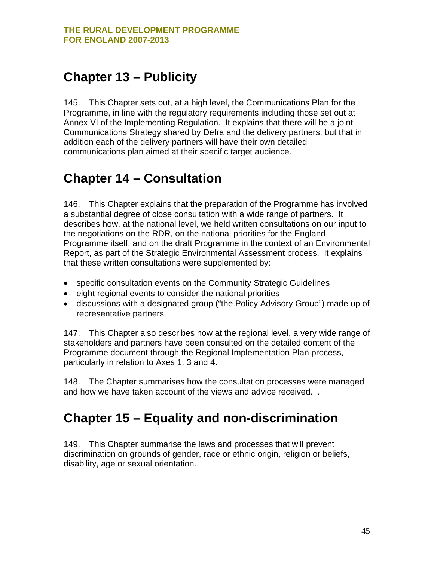### <span id="page-44-0"></span>**Chapter 13 – Publicity**

145. This Chapter sets out, at a high level, the Communications Plan for the Programme, in line with the regulatory requirements including those set out at Annex VI of the Implementing Regulation. It explains that there will be a joint Communications Strategy shared by Defra and the delivery partners, but that in addition each of the delivery partners will have their own detailed communications plan aimed at their specific target audience.

### **Chapter 14 – Consultation**

146. This Chapter explains that the preparation of the Programme has involved a substantial degree of close consultation with a wide range of partners. It describes how, at the national level, we held written consultations on our input to the negotiations on the RDR, on the national priorities for the England Programme itself, and on the draft Programme in the context of an Environmental Report, as part of the Strategic Environmental Assessment process. It explains that these written consultations were supplemented by:

- specific consultation events on the Community Strategic Guidelines
- eight regional events to consider the national priorities
- discussions with a designated group ("the Policy Advisory Group") made up of representative partners.

147. This Chapter also describes how at the regional level, a very wide range of stakeholders and partners have been consulted on the detailed content of the Programme document through the Regional Implementation Plan process, particularly in relation to Axes 1, 3 and 4.

148. The Chapter summarises how the consultation processes were managed and how we have taken account of the views and advice received. .

### **Chapter 15 – Equality and non-discrimination**

149. This Chapter summarise the laws and processes that will prevent discrimination on grounds of gender, race or ethnic origin, religion or beliefs, disability, age or sexual orientation.